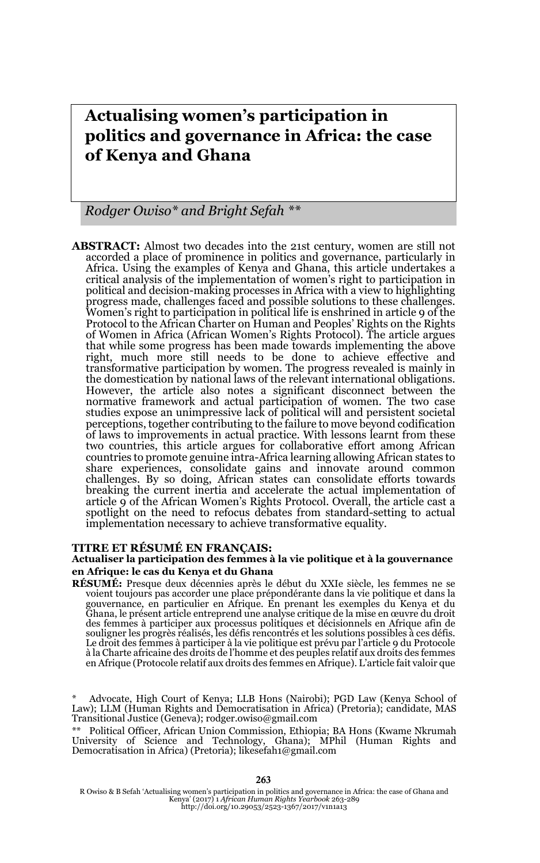# **Actualising women's participation in politics and governance in Africa: the case of Kenya and Ghana**

*Rodger Owiso\* and Bright Sefah \*\** 

**ABSTRACT:** Almost two decades into the 21st century, women are still not accorded a place of prominence in politics and governance, particularly in Africa. Using the examples of Kenya and Ghana, this article undertakes a critical analysis of the implementation of women's right to participation in political and decision-making processes in Africa with a view to highlighting progress made, challenges faced and possible solutions to these challenges. Women's right to participation in political life is enshrined in article 9 of the Protocol to the African Charter on Human and Peoples' Rights on the Rights of Women in Africa (African Women's Rights Protocol). The article argues that while some progress has been made towards implementing the above right, much more still needs to be done to achieve effective and transformative participation by women. The progress revealed is mainly in the domestication by national laws of the relevant international obligations. However, the article also notes a significant disconnect between the normative framework and actual participation of women. The two case studies expose an unimpressive lack of political will and persistent societal perceptions, together contributing to the failure to move beyond codification of laws to improvements in actual practice. With lessons learnt from these two countries, this article argues for collaborative effort among African countries to promote genuine intra-Africa learning allowing African states to share experiences, consolidate gains and innovate around common challenges. By so doing, African states can consolidate efforts towards breaking the current inertia and accelerate the actual implementation of article 9 of the African Women's Rights Protocol. Overall, the article cast a spotlight on the need to refocus debates from standard-setting to actual implementation necessary to achieve transformative equality.

#### **TITRE ET RÉSUMÉ EN FRANÇAIS:**

#### **Actualiser la participation des femmes à la vie politique et à la gouvernance en Afrique: le cas du Kenya et du Ghana**

**RÉSUMÉ:** Presque deux décennies après le début du XXIe siècle, les femmes ne se voient toujours pas accorder une place prépondérante dans la vie politique et dans la gouvernance, en particulier en Afrique. En prenant les exemples du Kenya et du Ghana, le présent article entreprend une analyse critique de la mise en œuvre du droit des femmes à participer aux processus politiques et décisionnels en Afrique afin de souligner les progrès réalisés, les défis rencontrés et les solutions possibles à ces défis. Le droit des femmes à participer à la vie politique est prévu par l'article 9 du Protocole à la Charte africaine des droits de l'homme et des peuples relatif aux droits des femmes en Afrique (Protocole relatif aux droits des femmes en Afrique). L'article fait valoir que

R Owiso & B Sefah 'Actualising women's participation in politics and governance in Africa: the case of Ghana and Kenya' (2017) 1 *African Human Rights Yearbook* 263-289 http://doi.org/10.29053/2523-1367/2017/v1n1a13

Advocate, High Court of Kenya; LLB Hons (Nairobi); PGD Law (Kenya School of Law); LLM (Human Rights and Democratisation in Africa) (Pretoria); candidate, MAS Transitional Justice (Geneva); rodger.owiso@gmail.com

<sup>\*\*</sup> Political Officer, African Union Commission, Ethiopia; BA Hons (Kwame Nkrumah University of Science and Technology, Ghana); MPhil (Human Rights and Democratisation in Africa) (Pretoria); likesefah1@gmail.com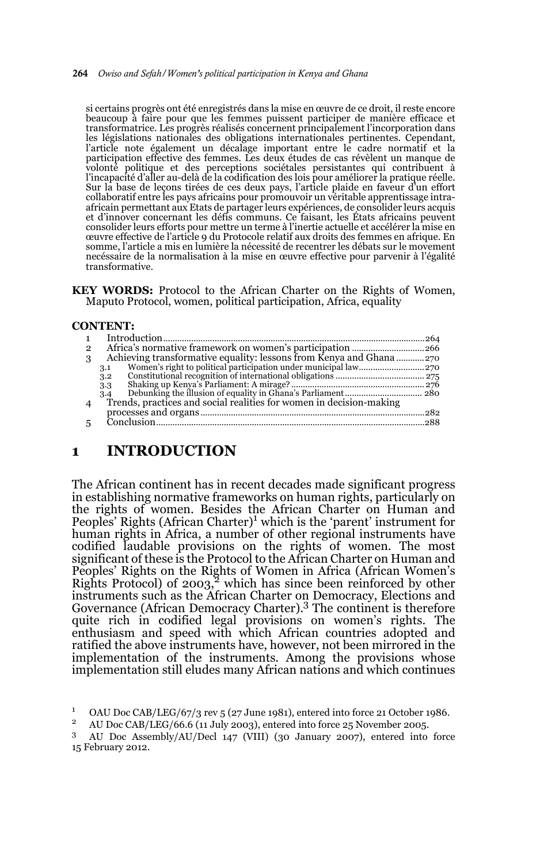#### 264 *Owiso and Sefah/Women's political participation in Kenya and Ghana*

si certains progrès ont été enregistrés dans la mise en œuvre de ce droit, il reste encore beaucoup à faire pour que les femmes puissent participer de manière efficace et transformatrice. Les progrès réalisés concernent principalement l'incorporation dans les législations nationales des obligations internationales pertinentes. Cependant, l'article note également un décalage important entre le cadre normatif et la participation effective des femmes. Les deux études de cas révèlent un manque de volonté politique et des perceptions sociétales persistantes qui contribuent à l'incapacité d'aller au-delà de la codification des lois pour améliorer la pratique réelle. Sur la base de leçons tirées de ces deux pays, l'article plaide en faveur d'un effort collaboratif entre les pays africains pour promouvoir un véritable apprentissage intraafricain permettant aux Etats de partager leurs expériences, de consolider leurs acquis et d'innover concernant les défis communs. Ce faisant, les États africains peuvent consolider leurs efforts pour mettre un terme à l'inertie actuelle et accélérer la mise en œuvre effective de l'article 9 du Protocole relatif aux droits des femmes en afrique. En somme, l'article a mis en lumière la nécessité de recentrer les débats sur le movement necéssaire de la normalisation à la mise en œuvre effective pour parvenir à l'égalité transformative.

**KEY WORDS:** Protocol to the African Charter on the Rights of Women, Maputo Protocol, women, political participation, Africa, equality

#### **CONTENT:**

| $\mathbf{1}$   |     |  |
|----------------|-----|--|
| $\overline{2}$ |     |  |
| 3              |     |  |
|                | 3.1 |  |
|                | 3.2 |  |
|                | 3.3 |  |
|                | 3.4 |  |
| $\overline{4}$ |     |  |
|                |     |  |
| 5              |     |  |
|                |     |  |

#### **1 INTRODUCTION**

The African continent has in recent decades made significant progress in establishing normative frameworks on human rights, particularly on the rights of women. Besides the African Charter on Human and **Peoples' Rights (African Charter)<sup>1</sup>** which is the 'parent' instrument for human rights in Africa, a number of other regional instruments have codified laudable provisions on the rights of women. The most significant of these is the Protocol to the African Charter on Human and Peoples' Rights on the Rights of Women in Africa (African Women's Rights Protocol) of 2003,<sup>2</sup> which has since been reinforced by other instruments such as the African Charter on Democracy, Elections and Governance (African Democracy Charter).3 The continent is therefore quite rich in codified legal provisions on women's rights. The enthusiasm and speed with which African countries adopted and ratified the above instruments have, however, not been mirrored in the implementation of the instruments. Among the provisions whose implementation still eludes many African nations and which continues

<sup>&</sup>lt;sup>1</sup> OAU Doc CAB/LEG/67/3 rev 5 (27 June 1981), entered into force 21 October 1986.<br><sup>2</sup> AU Dec CAB/LEG/66 (14 July 2002), entered into force 25 Neuember 2005.

<sup>2</sup> AU Doc CAB/LEG/66.6 (11 July 2003), entered into force 25 November 2005.

<sup>3</sup> AU Doc Assembly/AU/Decl 147 (VIII) (30 January 2007), entered into force 15 February 2012.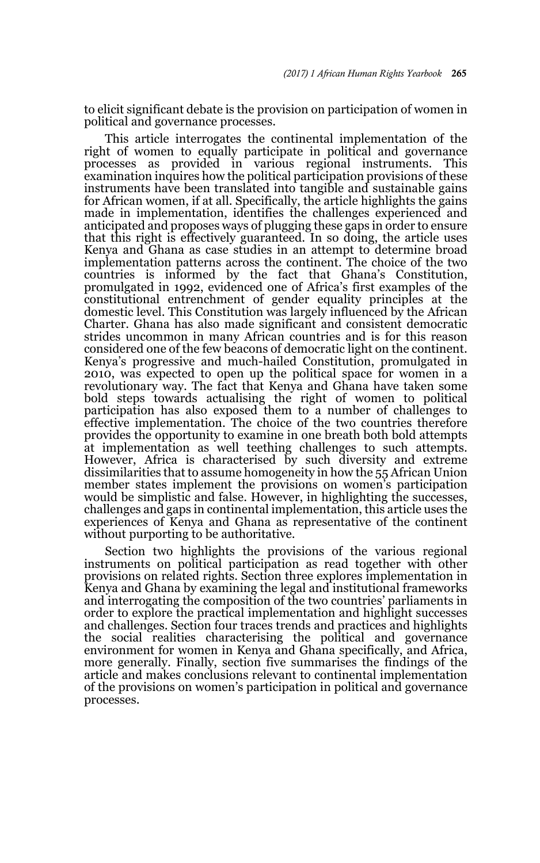to elicit significant debate is the provision on participation of women in political and governance processes.

This article interrogates the continental implementation of the right of women to equally participate in political and governance processes as provided in various regional instruments. This examination inquires how the political participation provisions of these instruments have been translated into tangible and sustainable gains for African women, if at all. Specifically, the article highlights the gains made in implementation, identifies the challenges experienced and anticipated and proposes ways of plugging these gaps in order to ensure that this right is effectively guaranteed. In so doing, the article uses Kenya and Ghana as case studies in an attempt to determine broad implementation patterns across the continent. The choice of the two countries is informed by the fact that Ghana's Constitution, promulgated in 1992, evidenced one of Africa's first examples of the constitutional entrenchment of gender equality principles at the domestic level. This Constitution was largely influenced by the African Charter. Ghana has also made significant and consistent democratic strides uncommon in many African countries and is for this reason considered one of the few beacons of democratic light on the continent. Kenya's progressive and much-hailed Constitution, promulgated in 2010, was expected to open up the political space for women in a revolutionary way. The fact that Kenya and Ghana have taken some bold steps towards actualising the right of women to political participation has also exposed them to a number of challenges to effective implementation. The choice of the two countries therefore provides the opportunity to examine in one breath both bold attempts at implementation as well teething challenges to such attempts. However, Africa is characterised by such diversity and extreme dissimilarities that to assume homogeneity in how the 55 African Union member states implement the provisions on women's participation would be simplistic and false. However, in highlighting the successes, challenges and gaps in continental implementation, this article uses the experiences of Kenya and Ghana as representative of the continent without purporting to be authoritative.

Section two highlights the provisions of the various regional instruments on political participation as read together with other provisions on related rights. Section three explores implementation in Kenya and Ghana by examining the legal and institutional frameworks and interrogating the composition of the two countries' parliaments in order to explore the practical implementation and highlight successes and challenges. Section four traces trends and practices and highlights the social realities characterising the political and governance environment for women in Kenya and Ghana specifically, and Africa, more generally. Finally, section five summarises the findings of the article and makes conclusions relevant to continental implementation of the provisions on women's participation in political and governance processes.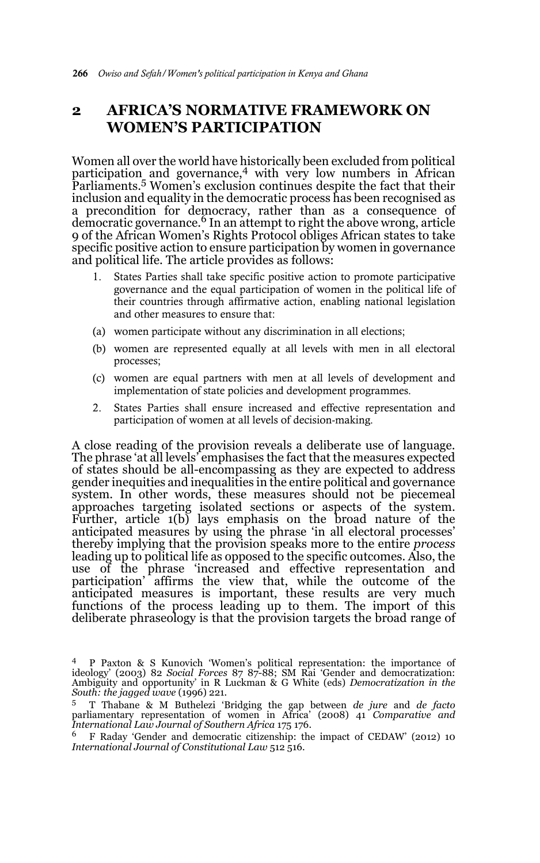# **2 AFRICA'S NORMATIVE FRAMEWORK ON WOMEN'S PARTICIPATION**

Women all over the world have historically been excluded from political participation and governance,4 with very low numbers in African Parliaments.<sup>5</sup> Women's exclusion continues despite the fact that their inclusion and equality in the democratic process has been recognised as a precondition for democracy, rather than as a consequence of democratic governance. <sup>6</sup> In an attempt to right the above wrong, article 9 of the African Women's Rights Protocol obliges African states to take specific positive action to ensure participation by women in governance and political life. The article provides as follows:

- 1. States Parties shall take specific positive action to promote participative governance and the equal participation of women in the political life of their countries through affirmative action, enabling national legislation and other measures to ensure that:
- (a) women participate without any discrimination in all elections;
- (b) women are represented equally at all levels with men in all electoral processes;
- (c) women are equal partners with men at all levels of development and implementation of state policies and development programmes.
- 2. States Parties shall ensure increased and effective representation and participation of women at all levels of decision-making.

A close reading of the provision reveals a deliberate use of language. The phrase 'at all levels' emphasises the fact that the measures expected of states should be all-encompassing as they are expected to address gender inequities and inequalities in the entire political and governance system. In other words, these measures should not be piecemeal approaches targeting isolated sections or aspects of the system. Further, article 1(b) lays emphasis on the broad nature of the anticipated measures by using the phrase 'in all electoral processes' thereby implying that the provision speaks more to the entire *process* leading up to political life as opposed to the specific outcomes. Also, the use of the phrase 'increased and effective representation and participation' affirms the view that, while the outcome of the anticipated measures is important, these results are very much functions of the process leading up to them. The import of this deliberate phraseology is that the provision targets the broad range of

<sup>4</sup> P Paxton & S Kunovich 'Women's political representation: the importance of ideology' (2003) 82 *Social Forces* 87 87-88; SM Rai 'Gender and democratization: Ambiguity and opportunity' in R Luckman & G White (eds) *Democratization in the South: the jagged wave* (1996) 221.

<sup>5</sup> T Thabane & M Buthelezi 'Bridging the gap between *de jure* and *de facto* parliamentary representation of women in Africa' (2008) 41 *Comparative and International Law Journal of Southern Africa* 175 176.

<sup>6</sup> F Raday 'Gender and democratic citizenship: the impact of CEDAW' (2012) 10 *International Journal of Constitutional Law* 512 516.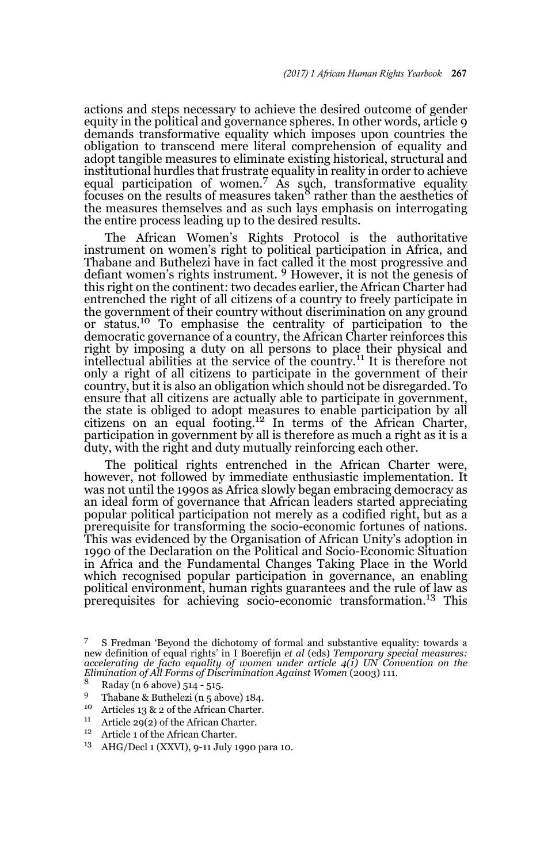actions and steps necessary to achieve the desired outcome of gender equity in the political and governance spheres. In other words, article 9 demands transformative equality which imposes upon countries the obligation to transcend mere literal comprehension of equality and adopt tangible measures to eliminate existing historical, structural and institutional hurdles that frustrate equality in reality in order to achieve equal participation of women.<sup>7</sup> As such, transformative equality focuses on the results of measures taken<sup>8</sup> rather than the aesthetics of the measures themselves and as such lays emphasis on interrogating the entire process leading up to the desired results.

The African Women's Rights Protocol is the authoritative instrument on women's right to political participation in Africa, and Thabane and Buthelezi have in fact called it the most progressive and defiant women's rights instrument. 9 However, it is not the genesis of this right on the continent: two decades earlier, the African Charter had entrenched the right of all citizens of a country to freely participate in the government of their country without discrimination on any ground or status.10 To emphasise the centrality of participation to the democratic governance of a country, the African Charter reinforces this right by imposing a duty on all persons to place their physical and intellectual abilities at the service of the country.11 It is therefore not only a right of all citizens to participate in the government of their country, but it is also an obligation which should not be disregarded. To ensure that all citizens are actually able to participate in government, the state is obliged to adopt measures to enable participation by all citizens on an equal footing.12 In terms of the African Charter, participation in government by all is therefore as much a right as it is a duty, with the right and duty mutually reinforcing each other.

The political rights entrenched in the African Charter were, however, not followed by immediate enthusiastic implementation. It was not until the 1990s as Africa slowly began embracing democracy as an ideal form of governance that African leaders started appreciating popular political participation not merely as a codified right, but as a prerequisite for transforming the socio-economic fortunes of nations. This was evidenced by the Organisation of African Unity's adoption in 1990 of the Declaration on the Political and Socio-Economic Situation in Africa and the Fundamental Changes Taking Place in the World which recognised popular participation in governance, an enabling political environment, human rights guarantees and the rule of law as prerequisites for achieving socio-economic transformation.13 This

- 9 Thabane & Buthelezi (n 5 above) 184.
- <sup>10</sup> Articles 13 & 2 of the African Charter.
- <sup>11</sup> Article 29(2) of the African Charter.
- Article 1 of the African Charter.
- <sup>13</sup> AHG/Decl 1 (XXVI), 9-11 July 1990 para 10.

<sup>7</sup> S Fredman 'Beyond the dichotomy of formal and substantive equality: towards a new definition of equal rights' in I Boerefijn *et al* (eds) *Temporary special measures: accelerating de facto equality of women under article 4(1) UN Convention on the Elimination of All Forms of Discrimination Against Women* (2003) 111.

<sup>8</sup> Raday (n 6 above) 514 - 515.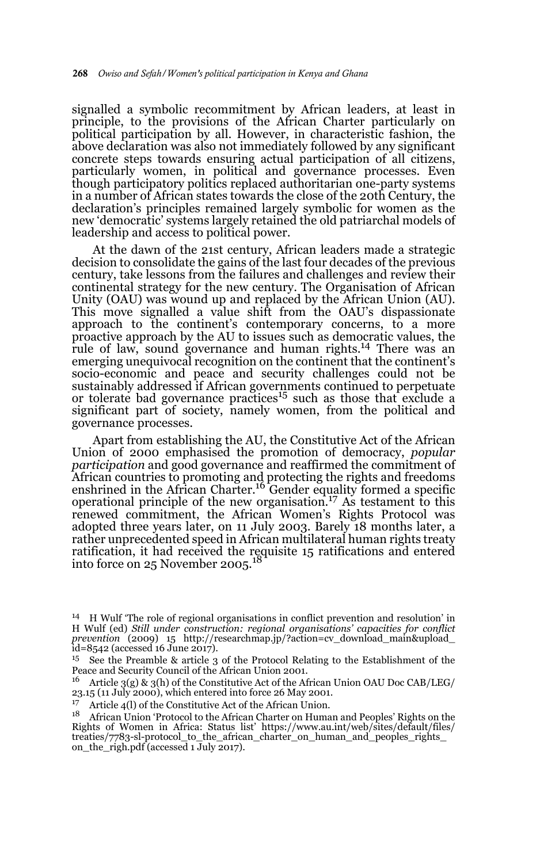signalled a symbolic recommitment by African leaders, at least in principle, to the provisions of the African Charter particularly on political participation by all. However, in characteristic fashion, the above declaration was also not immediately followed by any significant concrete steps towards ensuring actual participation of all citizens, particularly women, in political and governance processes. Even though participatory politics replaced authoritarian one-party systems in a number of African states towards the close of the 20th Century, the declaration's principles remained largely symbolic for women as the new 'democratic' systems largely retained the old patriarchal models of leadership and access to political power.

At the dawn of the 21st century, African leaders made a strategic decision to consolidate the gains of the last four decades of the previous century, take lessons from the failures and challenges and review their continental strategy for the new century. The Organisation of African Unity (OAU) was wound up and replaced by the African Union (AU). This move signalled a value shift from the OAU's dispassionate approach to the continent's contemporary concerns, to a more proactive approach by the AU to issues such as democratic values, the rule of law, sound governance and human rights.<sup>14</sup> There was an emerging unequivocal recognition on the continent that the continent's socio-economic and peace and security challenges could not be sustainably addressed if African governments continued to perpetuate or tolerate bad governance practices<sup>15</sup> such as those that exclude a significant part of society, namely women, from the political and governance processes.

Apart from establishing the AU, the Constitutive Act of the African Union of 2000 emphasised the promotion of democracy, *popular participation* and good governance and reaffirmed the commitment of African countries to promoting and protecting the rights and freedoms<br>enshrined in the African Charter.<sup>16</sup> Gender equality formed a specific operational principle of the new organisation.<sup>17</sup> As testament to this renewed commitment, the African Women's Rights Protocol was adopted three years later, on 11 July 2003. Barely 18 months later, a rather unprecedented speed in African multilateral human rights treaty ratification, it had received the requisite 15 ratifications and entered<br>into force on 25 November 2005.<sup>18</sup>

<sup>14</sup> H Wulf 'The role of regional organisations in conflict prevention and resolution' in H Wulf (ed) *Still under construction: regional organisations' capacities for conflict prevention* (2009) 15 http://researchmap.jp/?action=cv\_download\_main&upload\_ id=8542 (accessed 16 June 2017).

<sup>15</sup> See the Preamble & article 3 of the Protocol Relating to the Establishment of the Peace and Security Council of the African Union 2001.

<sup>&</sup>lt;sup>16</sup> Article 3(g) & 3(h) of the Constitutive Act of the African Union OAU Doc CAB/LEG/ 23.15 (11 July 2000), which entered into force 26 May 2001.

<sup>&</sup>lt;sup>17</sup> Article 4(l) of the Constitutive Act of the African Union.<br><sup>18</sup> African Union Testacel to the African Chapter on Union.

<sup>18</sup> African Union 'Protocol to the African Charter on Human and Peoples' Rights on the Rights of Women in Africa: Status list' https://www.au.int/web/sites/default/files/ treaties/7783-sl-protocol\_to\_the\_african\_charter\_on\_human\_and\_peoples\_rights\_ on\_the\_righ.pdf (accessed 1 July 2017).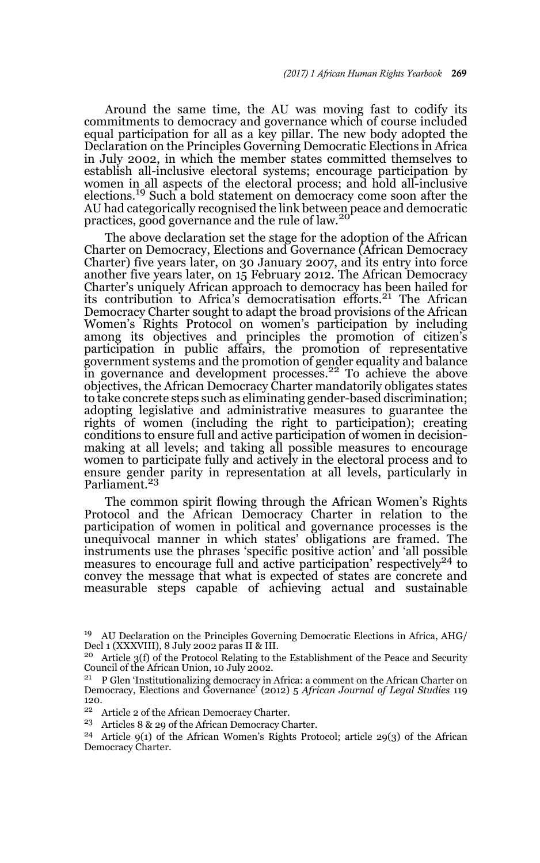Around the same time, the AU was moving fast to codify its commitments to democracy and governance which of course included equal participation for all as a key pillar. The new body adopted the Declaration on the Principles Governing Democratic Elections in Africa in July 2002, in which the member states committed themselves to establish all-inclusive electoral systems; encourage participation by women in all aspects of the electoral process; and hold all-inclusive elections.19 Such a bold statement on democracy come soon after the AU had categorically recognised the link between peace and democratic practices, good governance and the rule of law.<sup>20</sup>

The above declaration set the stage for the adoption of the African Charter on Democracy, Elections and Governance (African Democracy Charter) five years later, on 30 January 2007, and its entry into force another five years later, on 15 February 2012. The African Democracy Charter's uniquely African approach to democracy has been hailed for its contribution to Africa's democratisation efforts.<sup>21</sup> The African Democracy Charter sought to adapt the broad provisions of the African Women's Rights Protocol on women's participation by including among its objectives and principles the promotion of citizen's participation in public affairs, the promotion of representative government systems and the promotion of gender equality and balance in governance and development processes.<sup>22</sup> To achieve the above objectives, the African Democracy Charter mandatorily obligates states to take concrete steps such as eliminating gender-based discrimination; adopting legislative and administrative measures to guarantee the rights of women (including the right to participation); creating conditions to ensure full and active participation of women in decisionmaking at all levels; and taking all possible measures to encourage women to participate fully and actively in the electoral process and to ensure gender parity in representation at all levels, particularly in Parliament.<sup>23</sup>

The common spirit flowing through the African Women's Rights Protocol and the African Democracy Charter in relation to the participation of women in political and governance processes is the unequivocal manner in which states' obligations are framed. The instruments use the phrases 'specific positive action' and 'all possible<br>measures to encourage full and active participation' respectively<sup>24</sup> to convey the message that what is expected of states are concrete and measurable steps capable of achieving actual and sustainable

- <sup>22</sup> Article 2 of the African Democracy Charter.
- <sup>23</sup> Articles 8 & 29 of the African Democracy Charter.
- <sup>24</sup> Article 9(1) of the African Women's Rights Protocol; article 29(3) of the African Democracy Charter.

<sup>19</sup> AU Declaration on the Principles Governing Democratic Elections in Africa, AHG/ Decl 1 (XXXVIII), 8 July 2002 paras II & III.

<sup>&</sup>lt;sup>20</sup> Article 3(f) of the Protocol Relating to the Establishment of the Peace and Security Council of the African Union, 10 July 2002.

<sup>&</sup>lt;sup>21</sup> P Glen 'Institutionalizing democracy in Africa: a comment on the African Charter on Democracy, Elections and Governance' (2012) 5 *African Journal of Legal Studies* 119 120.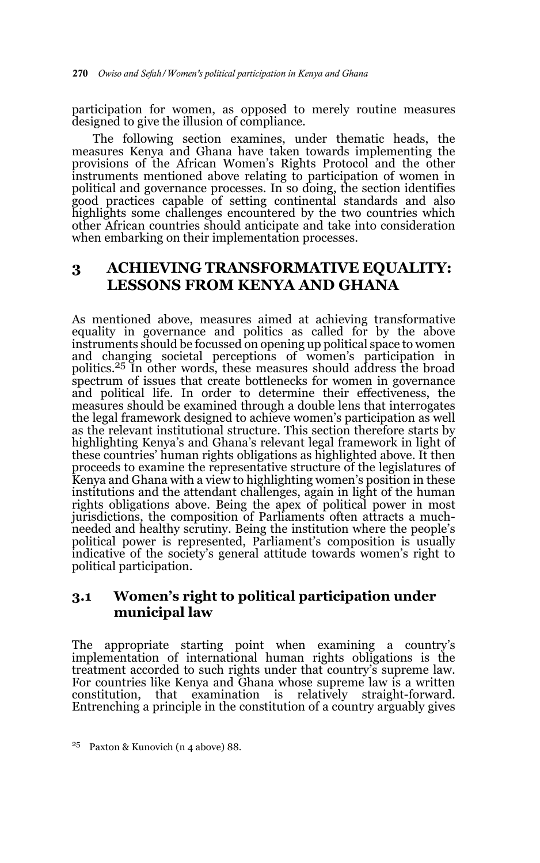participation for women, as opposed to merely routine measures designed to give the illusion of compliance.

The following section examines, under thematic heads, the measures Kenya and Ghana have taken towards implementing the provisions of the African Women's Rights Protocol and the other instruments mentioned above relating to participation of women in political and governance processes. In so doing, the section identifies good practices capable of setting continental standards and also highlights some challenges encountered by the two countries which other African countries should anticipate and take into consideration when embarking on their implementation processes.

## **3 ACHIEVING TRANSFORMATIVE EQUALITY: LESSONS FROM KENYA AND GHANA**

As mentioned above, measures aimed at achieving transformative equality in governance and politics as called for by the above instruments should be focussed on opening up political space to women and changing societal perceptions of women's participation in politics.25 In other words, these measures should address the broad spectrum of issues that create bottlenecks for women in governance and political life. In order to determine their effectiveness, the measures should be examined through a double lens that interrogates the legal framework designed to achieve women's participation as well as the relevant institutional structure. This section therefore starts by highlighting Kenya's and Ghana's relevant legal framework in light of these countries' human rights obligations as highlighted above. It then proceeds to examine the representative structure of the legislatures of Kenya and Ghana with a view to highlighting women's position in these institutions and the attendant challenges, again in light of the human rights obligations above. Being the apex of political power in most jurisdictions, the composition of Parliaments often attracts a muchneeded and healthy scrutiny. Being the institution where the people's political power is represented, Parliament's composition is usually indicative of the society's general attitude towards women's right to political participation.

### **3.1 Women's right to political participation under municipal law**

The appropriate starting point when examining a country's implementation of international human rights obligations is the treatment accorded to such rights under that country's supreme law. For countries like Kenya and Ghana whose supreme law is a written constitution, that examination is relatively straight-forward. Entrenching a principle in the constitution of a country arguably gives

<sup>25</sup> Paxton & Kunovich (n 4 above) 88.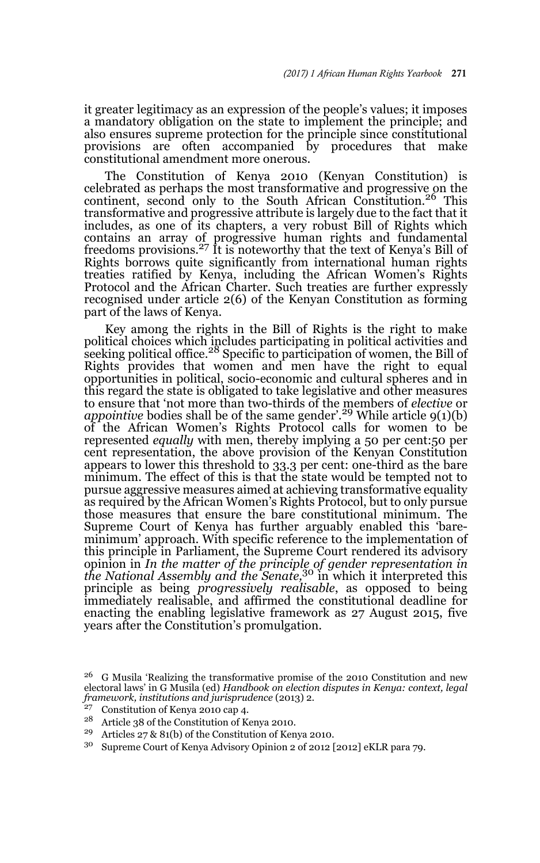it greater legitimacy as an expression of the people's values; it imposes a mandatory obligation on the state to implement the principle; and also ensures supreme protection for the principle since constitutional provisions are often accompanied by procedures that make constitutional amendment more onerous.

The Constitution of Kenya 2010 (Kenyan Constitution) is celebrated as perhaps the most transformative and progressive on the continent, second only to the South African Constitution.<sup>26</sup> This transformative and progressive attribute is largely due to the fact that it includes, as one of its chapters, a very robust Bill of Rights which contains an array of progressive human rights and fundamental freedoms provisions.<sup>27</sup> It is noteworthy that the text of Kenya's Bill of Rights borrows quite significantly from international human rights treaties ratified by Kenya, including the African Women's Rights Protocol and the African Charter. Such treaties are further expressly recognised under article 2(6) of the Kenyan Constitution as forming part of the laws of Kenya.

Key among the rights in the Bill of Rights is the right to make political choices which includes participating in political activities and<br>seeking political office.<sup>28</sup> Specific to participation of women, the Bill of Rights provides that women and men have the right to equal opportunities in political, socio-economic and cultural spheres and in this regard the state is obligated to take legislative and other measures to ensure that 'not more than two-thirds of the members of *elective* or *appointive* bodies shall be of the same gender'.29 While article 9(1)(b) of the African Women's Rights Protocol calls for women to be represented *equally* with men, thereby implying a 50 per cent:50 per cent representation, the above provision of the Kenyan Constitution appears to lower this threshold to 33.3 per cent: one-third as the bare minimum. The effect of this is that the state would be tempted not to pursue aggressive measures aimed at achieving transformative equality as required by the African Women's Rights Protocol, but to only pursue those measures that ensure the bare constitutional minimum. The Supreme Court of Kenya has further arguably enabled this 'bareminimum' approach. With specific reference to the implementation of this principle in Parliament, the Supreme Court rendered its advisory opinion in *In the matter of the principle of gender representation in the National Assembly and the Senate,*30 in which it interpreted this principle as being *progressively realisable*, as opposed to being immediately realisable, and affirmed the constitutional deadline for enacting the enabling legislative framework as 27 August 2015, five years after the Constitution's promulgation.

<sup>29</sup> Articles 27 & 81(b) of the Constitution of Kenya 2010.

<sup>26</sup> G Musila 'Realizing the transformative promise of the 2010 Constitution and new electoral laws' in G Musila (ed) *Handbook on election disputes in Kenya: context, legal framework, institutions and jurisprudence* (2013) 2.

<sup>&</sup>lt;sup>27</sup> Constitution of Kenya 2010 cap 4.<br><sup>28</sup> Article 29 of the Constitution of K

<sup>28</sup> Article 38 of the Constitution of Kenya 2010.

<sup>30</sup> Supreme Court of Kenya Advisory Opinion 2 of 2012 [2012] eKLR para 79.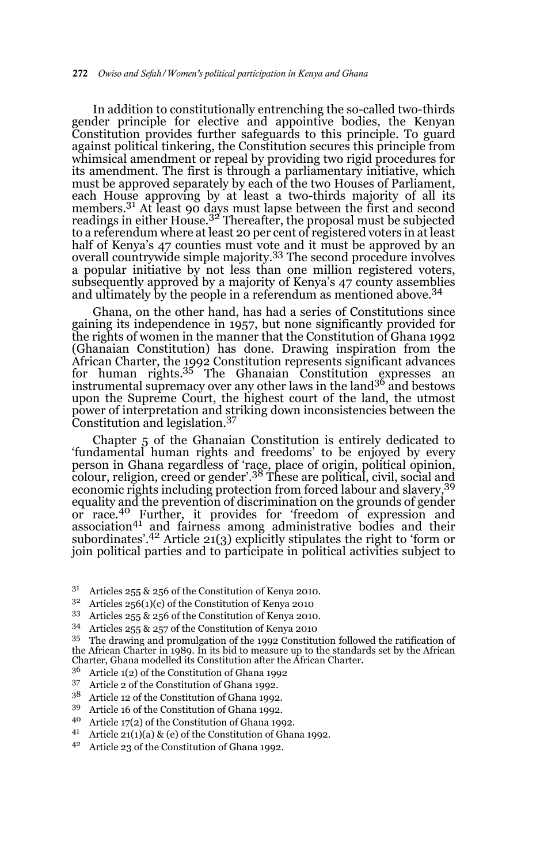In addition to constitutionally entrenching the so-called two-thirds gender principle for elective and appointive bodies, the Kenyan Constitution provides further safeguards to this principle. To guard against political tinkering, the Constitution secures this principle from whimsical amendment or repeal by providing two rigid procedures for its amendment. The first is through a parliamentary initiative, which must be approved separately by each of the two Houses of Parliament, each House approving by at least a two-thirds majority of all its members.<sup>31</sup> At least 90 days must lapse between the first and second readings in either House.<sup>32</sup> Thereafter, the proposal must be subjected to a referendum where at least 20 per cent of registered voters in at least half of Kenya's 47 counties must vote and it must be approved by an overall countrywide simple majority.33 The second procedure involves a popular initiative by not less than one million registered voters, subsequently approved by a majority of Kenya's 47 county assemblies and ultimately by the people in a referendum as mentioned above.34

Ghana, on the other hand, has had a series of Constitutions since gaining its independence in 1957, but none significantly provided for the rights of women in the manner that the Constitution of Ghana 1992 (Ghanaian Constitution) has done. Drawing inspiration from the African Charter, the 1992 Constitution represents significant advances for human rights.35 The Ghanaian Constitution expresses an instrumental supremacy over any other laws in the land36 and bestows upon the Supreme Court, the highest court of the land, the utmost power of interpretation and striking down inconsistencies between the Constitution and legislation.37

Chapter 5 of the Ghanaian Constitution is entirely dedicated to 'fundamental human rights and freedoms' to be enjoyed by every person in Ghana regardless of 'race, place of origin, political opinion,<br>colour, religion, creed or gender'.<sup>38</sup> These are political, civil, social and economic rights including protection from forced labour and slavery,39 equality and the prevention of discrimination on the grounds of gender or race.40 Further, it provides for 'freedom of expression and association<sup>41</sup> and fairness among administrative bodies and their subordinates'.42 Article 21(3) explicitly stipulates the right to 'form or join political parties and to participate in political activities subject to

- <sup>31</sup> Articles 255 & 256 of the Constitution of Kenya 2010.<br><sup>32</sup> Articles  $255(1)(s)$  of the Constitution of Kenya 2010.
- Articles 256(1)(c) of the Constitution of Kenya 2010
- <sup>33</sup> Articles 255 & 256 of the Constitution of Kenya 2010.<br> $^{34}$  Articles 255 & 257 of the Constitution of Kenya 2010.
- <sup>34</sup> Articles 255  $\&$  257 of the Constitution of Kenya 2010<br><sup>35</sup> The drawing and promulgation of the 1999 Constitut
- The drawing and promulgation of the 1992 Constitution followed the ratification of the African Charter in 1989. In its bid to measure up to the standards set by the African Charter, Ghana modelled its Constitution after the African Charter.
- $36$  Article 1(2) of the Constitution of Ghana 1992<br> $37$  Article 9 of the Constitution of Chana 1992
- Article 2 of the Constitution of Ghana 1992.
- $3^8$  Article 12 of the Constitution of Ghana 1992.
- <sup>39</sup> Article 16 of the Constitution of Ghana 1992.
- Article 17(2) of the Constitution of Ghana 1992.
- <sup>41</sup> Article 21(1)(a) & (e) of the Constitution of Ghana 1992.
- <sup>42</sup> Article 23 of the Constitution of Ghana 1992.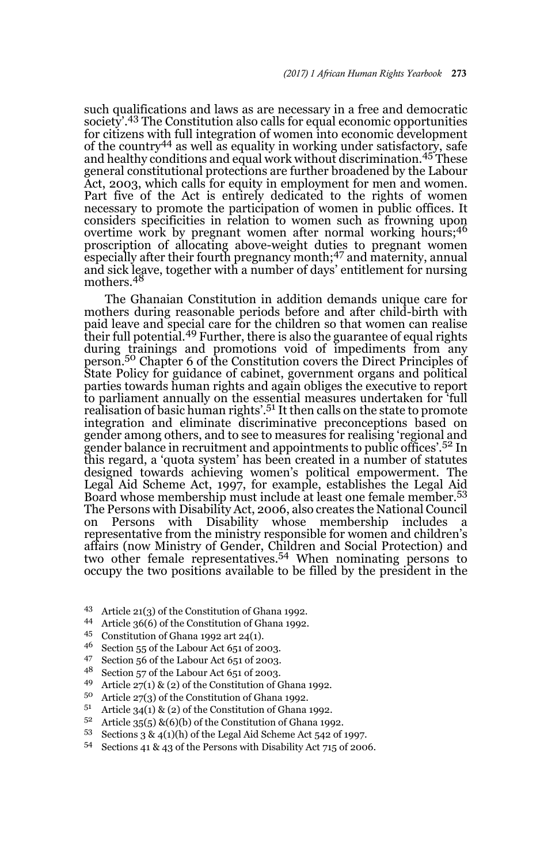such qualifications and laws as are necessary in a free and democratic society'.<sup>43</sup> The Constitution also calls for equal economic opportunities for citizens with full integration of women into economic development of the country<sup>44</sup> as well as equality in working under satisfactory, safe and healthy conditions and equal work without discrimination.<sup>45</sup> These general constitutional protections are further broadened by the Labour Act, 2003, which calls for equity in employment for men and women. Part five of the Act is entirely dedicated to the rights of women necessary to promote the participation of women in public offices. It considers specificities in relation to women such as frowning upon overtime work by pregnant women after normal working hours;<sup>46</sup> proscription of allocating above-weight duties to pregnant women especially after their fourth pregnancy month;47 and maternity, annual and sick leave, together with a number of days' entitlement for nursing<br>mothers.<sup>48</sup>

The Ghanaian Constitution in addition demands unique care for mothers during reasonable periods before and after child-birth with paid leave and special care for the children so that women can realise their full potential.49 Further, there is also the guarantee of equal rights during trainings and promotions void of impediments from any person.<sup>50</sup> Chapter 6 of the Constitution covers the Direct Principles of State Policy for guidance of cabinet, government organs and political parties towards human rights and again obliges the executive to report to parliament annually on the essential measures undertaken for 'full realisation of basic human rights'.<sup>51</sup> It then calls on the state to promote integration and eliminate discriminative preconceptions based on gender among others, and to see to measures for realising 'regional and gender balance in recruitment and appointments to public offices'.<sup>52</sup> In this regard, a 'quota system' has been created in a number of statutes designed towards achieving women's political empowerment. The Legal Aid Scheme Act, 1997, for example, establishes the Legal Aid Board whose membership must include at least one female member.<sup>53</sup> The Persons with Disability Act, 2006, also creates the National Council on Persons with Disability whose membership includes a representative from the ministry responsible for women and children's affairs (now Ministry of Gender, Children and Social Protection) and two other female representatives.54 When nominating persons to occupy the two positions available to be filled by the president in the

- <sup>43</sup> Article 21(3) of the Constitution of Ghana 1992.
- 44 Article 36(6) of the Constitution of Ghana 1992.
- 45 Constitution of Ghana 1992 art 24(1).
- Section 55 of the Labour Act 651 of 2003.
- <sup>47</sup> Section 56 of the Labour Act 651 of 2003.
- <sup>48</sup> Section 57 of the Labour Act 651 of 2003.
- Article  $27(1)$  & (2) of the Constitution of Ghana 1992.
- <sup>50</sup> Article 27(3) of the Constitution of Ghana 1992.
- <sup>51</sup> Article 34(1) & (2) of the Constitution of Ghana 1992.
- Article  $35(5)$  &(6)(b) of the Constitution of Ghana 1992.
- 53 Sections 3 &  $4(1)(h)$  of the Legal Aid Scheme Act 542 of 1997.
- <sup>54</sup> Sections 41 & 43 of the Persons with Disability Act 715 of 2006.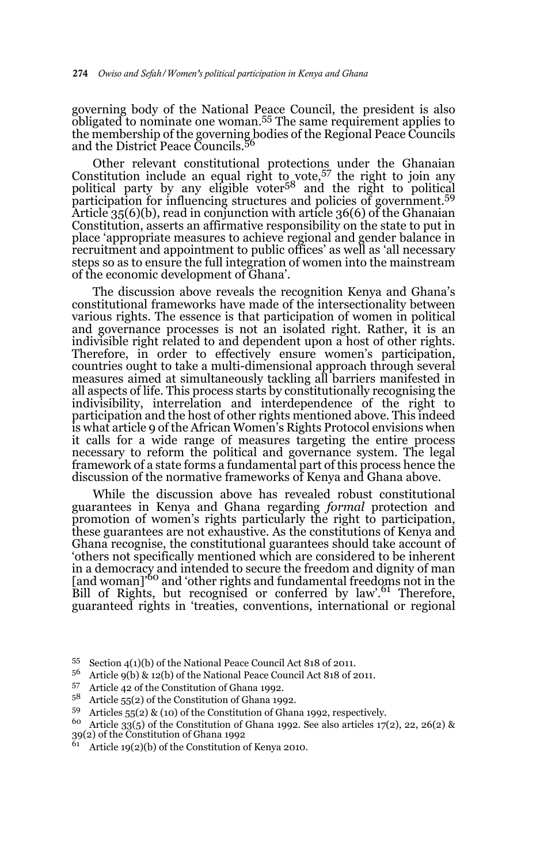governing body of the National Peace Council, the president is also obligated to nominate one woman.55 The same requirement applies to the membership of the governing bodies of the Regional Peace Councils and the District Peace Councils.<sup>56</sup>

Other relevant constitutional protections under the Ghanaian Constitution include an equal right to vote,57 the right to join any political party by any eligible voter<sup>58</sup> and the right to political participation for influencing structures and policies of government.59 Article 35(6)(b), read in conjunction with article 36(6) of the Ghanaian Constitution, asserts an affirmative responsibility on the state to put in place 'appropriate measures to achieve regional and gender balance in recruitment and appointment to public offices' as well as 'all necessary steps so as to ensure the full integration of women into the mainstream of the economic development of Ghana'.

The discussion above reveals the recognition Kenya and Ghana's constitutional frameworks have made of the intersectionality between various rights. The essence is that participation of women in political and governance processes is not an isolated right. Rather, it is an indivisible right related to and dependent upon a host of other rights. Therefore, in order to effectively ensure women's participation, countries ought to take a multi-dimensional approach through several measures aimed at simultaneously tackling all barriers manifested in all aspects of life. This process starts by constitutionally recognising the indivisibility, interrelation and interdependence of the right to participation and the host of other rights mentioned above. This indeed is what article 9 of the African Women's Rights Protocol envisions when it calls for a wide range of measures targeting the entire process necessary to reform the political and governance system. The legal framework of a state forms a fundamental part of this process hence the discussion of the normative frameworks of Kenya and Ghana above.

While the discussion above has revealed robust constitutional guarantees in Kenya and Ghana regarding *formal* protection and promotion of women's rights particularly the right to participation, these guarantees are not exhaustive. As the constitutions of Kenya and Ghana recognise, the constitutional guarantees should take account of 'others not specifically mentioned which are considered to be inherent in a democracy and intended to secure the freedom and dignity of man<br>[and woman]'<sup>60</sup> and 'other rights and fundamental freedoms not in the Bill of Rights, but recognised or conferred by law'.<sup>61</sup> Therefore, guaranteed rights in 'treaties, conventions, international or regional

<sup>55</sup> Section 4(1)(b) of the National Peace Council Act 818 of 2011.

<sup>56</sup> Article 9(b) & 12(b) of the National Peace Council Act 818 of 2011.

<sup>&</sup>lt;sup>57</sup> Article 42 of the Constitution of Ghana 1992.

Article 55(2) of the Constitution of Ghana 1992.

<sup>59</sup> Articles 55(2) & (10) of the Constitution of Ghana 1992, respectively.

 $60$  Article 33(5) of the Constitution of Ghana 1992. See also articles 17(2), 22, 26(2) & 39(2) of the Constitution of Ghana 1992

Article  $19(2)(b)$  of the Constitution of Kenya 2010.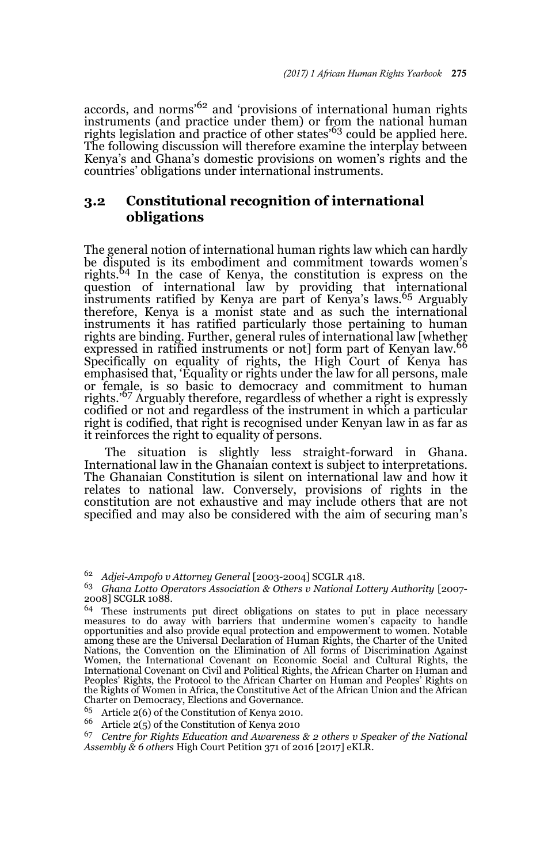accords, and norms'62 and 'provisions of international human rights instruments (and practice under them) or from the national human rights legislation and practice of other states<sup>'63</sup> could be applied here. The following discussion will therefore examine the interplay between Kenya's and Ghana's domestic provisions on women's rights and the countries' obligations under international instruments.

### **3.2 Constitutional recognition of international obligations**

The general notion of international human rights law which can hardly be disputed is its embodiment and commitment towards women's rights.<sup>64</sup> In the case of Kenya, the constitution is express on the question of international law by providing that international instruments ratified by Kenya are part of Kenya's laws.65 Arguably therefore, Kenya is a monist state and as such the international instruments it has ratified particularly those pertaining to human rights are binding. Further, general rules of international law [whether expressed in ratified instruments or not] form part of Kenyan law.<sup>66</sup> Specifically on equality of rights, the High Court of Kenya has emphasised that, 'Equality or rights under the law for all persons, male or female, is so basic to democracy and commitment to human rights.'67 Arguably therefore, regardless of whether a right is expressly codified or not and regardless of the instrument in which a particular right is codified, that right is recognised under Kenyan law in as far as it reinforces the right to equality of persons.

The situation is slightly less straight-forward in Ghana. International law in the Ghanaian context is subject to interpretations. The Ghanaian Constitution is silent on international law and how it relates to national law. Conversely, provisions of rights in the constitution are not exhaustive and may include others that are not specified and may also be considered with the aim of securing man's

<sup>62</sup> *Adjei-Ampofo v Attorney General* [2003-2004] SCGLR 418.

<sup>63</sup> *Ghana Lotto Operators Association & Others v National Lottery Authority* [2007- 2008] SCGLR 1088.

<sup>&</sup>lt;sup>64</sup> These instruments put direct obligations on states to put in place necessary measures to do away with barriers that undermine women's capacity to handle opportunities and also provide equal protection and empowerment to women. Notable among these are the Universal Declaration of Human Rights, the Charter of the United Nations, the Convention on the Elimination of All forms of Discrimination Against Women, the International Covenant on Economic Social and Cultural Rights, the International Covenant on Civil and Political Rights, the African Charter on Human and Peoples' Rights, the Protocol to the African Charter on Human and Peoples' Rights on the Rights of Women in Africa, the Constitutive Act of the African Union and the African Charter on Democracy, Elections and Governance.

<sup>65</sup> Article 2(6) of the Constitution of Kenya 2010.

<sup>&</sup>lt;sup>66</sup> Article 2(5) of the Constitution of Kenya 2010<br><sup>67</sup> Contre for Rights Education and Awareness

<sup>67</sup> *Centre for Rights Education and Awareness & 2 others v Speaker of the National Assembly & 6 others* High Court Petition 371 of 2016 [2017] eKLR.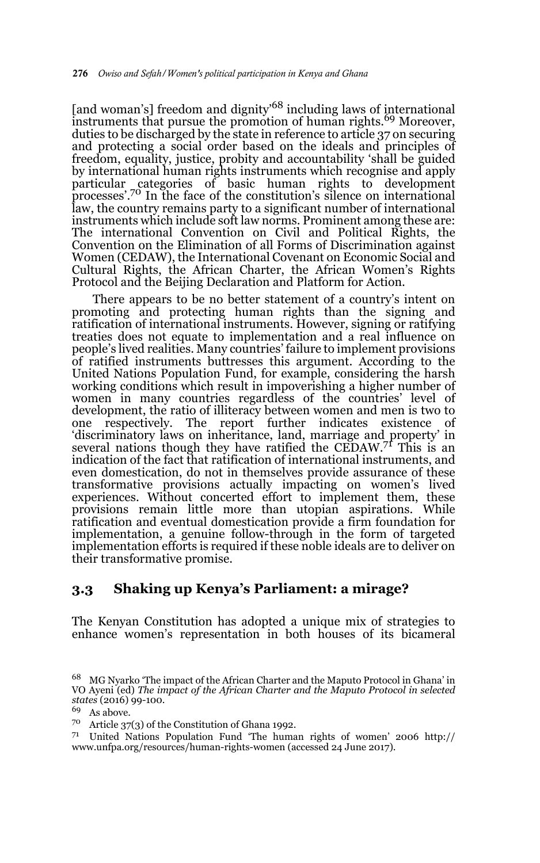[and woman's] freedom and dignity<sup>68</sup> including laws of international instruments that pursue the promotion of human rights.<sup>69</sup> Moreover, duties to be discharged by the state in reference to article 37 on securing and protecting a social order based on the ideals and principles of freedom, equality, justice, probity and accountability 'shall be guided by international human rights instruments which recognise and apply particular categories of basic human rights to development<br>processes'.<sup>70</sup> In the face of the constitution's silence on international law, the country remains party to a significant number of international instruments which include soft law norms. Prominent among these are: The international Convention on Civil and Political Rights, the Convention on the Elimination of all Forms of Discrimination against Women (CEDAW), the International Covenant on Economic Social and Cultural Rights, the African Charter, the African Women's Rights Protocol and the Beijing Declaration and Platform for Action.

There appears to be no better statement of a country's intent on promoting and protecting human rights than the signing and ratification of international instruments. However, signing or ratifying treaties does not equate to implementation and a real influence on people's lived realities. Many countries' failure to implement provisions of ratified instruments buttresses this argument. According to the United Nations Population Fund, for example, considering the harsh working conditions which result in impoverishing a higher number of women in many countries regardless of the countries' level of development, the ratio of illiteracy between women and men is two to one respectively. The report further indicates existence of 'discriminatory laws on inheritance, land, marriage and property' in several nations though they have ratified the CEDAW.<sup>71</sup> This is an indication of the fact that ratification of international instruments, and even domestication, do not in themselves provide assurance of these transformative provisions actually impacting on women's lived experiences. Without concerted effort to implement them, these provisions remain little more than utopian aspirations. While ratification and eventual domestication provide a firm foundation for implementation, a genuine follow-through in the form of targeted implementation efforts is required if these noble ideals are to deliver on their transformative promise.

#### **3.3 Shaking up Kenya's Parliament: a mirage?**

The Kenyan Constitution has adopted a unique mix of strategies to enhance women's representation in both houses of its bicameral

<sup>68</sup> MG Nyarko 'The impact of the African Charter and the Maputo Protocol in Ghana' in VO Ayeni (ed) *The impact of the African Charter and the Maputo Protocol in selected states* (2016) 99-100.

<sup>69</sup> As above.

<sup>70</sup> Article 37(3) of the Constitution of Ghana 1992.

<sup>&</sup>lt;sup>71</sup> United Nations Population Fund 'The human rights of women' 2006 http:// www.unfpa.org/resources/human-rights-women (accessed 24 June 2017).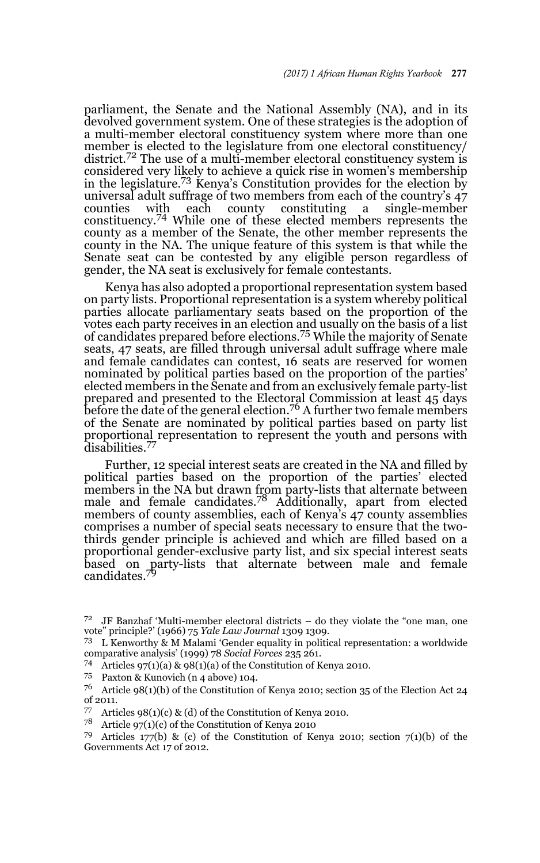parliament, the Senate and the National Assembly (NA), and in its devolved government system. One of these strategies is the adoption of a multi-member electoral constituency system where more than one member is elected to the legislature from one electoral constituency/ district.<sup>72</sup> The use of a multi-member electoral constituency system is considered very likely to achieve a quick rise in women's membership in the legislature.73 Kenya's Constitution provides for the election by universal adult suffrage of two members from each of the country's 47<br>counties with each county constituting a single-member a single-member constituency.74 While one of these elected members represents the county as a member of the Senate, the other member represents the county in the NA. The unique feature of this system is that while the Senate seat can be contested by any eligible person regardless of gender, the NA seat is exclusively for female contestants.

Kenya has also adopted a proportional representation system based on party lists. Proportional representation is a system whereby political parties allocate parliamentary seats based on the proportion of the votes each party receives in an election and usually on the basis of a list of candidates prepared before elections.75 While the majority of Senate seats, 47 seats, are filled through universal adult suffrage where male and female candidates can contest, 16 seats are reserved for women nominated by political parties based on the proportion of the parties' elected members in the Senate and from an exclusively female party-list prepared and presented to the Electoral Commission at least 45 days before the date of the general election.<sup>76</sup> A further two female members of the Senate are nominated by political parties based on party list proportional representation to represent the youth and persons with disabilities.<sup>77</sup>

Further, 12 special interest seats are created in the NA and filled by political parties based on the proportion of the parties' elected members in the NA but drawn from party-lists that alternate between male and female candidates.78 Additionally, apart from elected members of county assemblies, each of Kenya's 47 county assemblies comprises a number of special seats necessary to ensure that the twothirds gender principle is achieved and which are filled based on a proportional gender-exclusive party list, and six special interest seats based on party-lists that alternate between male and female candidates.<sup>79</sup>

<sup>73</sup> L Kenworthy & M Malami 'Gender equality in political representation: a worldwide comparative analysis' (1999) 78 *Social Forces* 235 261.

74 Articles 97(1)(a) & 98(1)(a) of the Constitution of Kenya 2010.<br>75 Paxton & Kunovich (n 4 above) 104.

 $72$  JF Banzhaf 'Multi-member electoral districts – do they violate the "one man, one vote" principle?' (1966) 75 *Yale Law Journal* 1309 1309.

<sup>&</sup>lt;sup>76</sup> Article 98(1)(b) of the Constitution of Kenya 2010; section 35 of the Election Act 24 of 2011.

Articles  $98(1)(c)$  & (d) of the Constitution of Kenya 2010.

<sup>&</sup>lt;sup>78</sup> Article 97(1)(c) of the Constitution of Kenya 2010<br><sup>79</sup> Articles 177(b) & (e) of the Constitution of Ke

Articles 177(b) & (c) of the Constitution of Kenya 2010; section 7(1)(b) of the Governments Act 17 of 2012.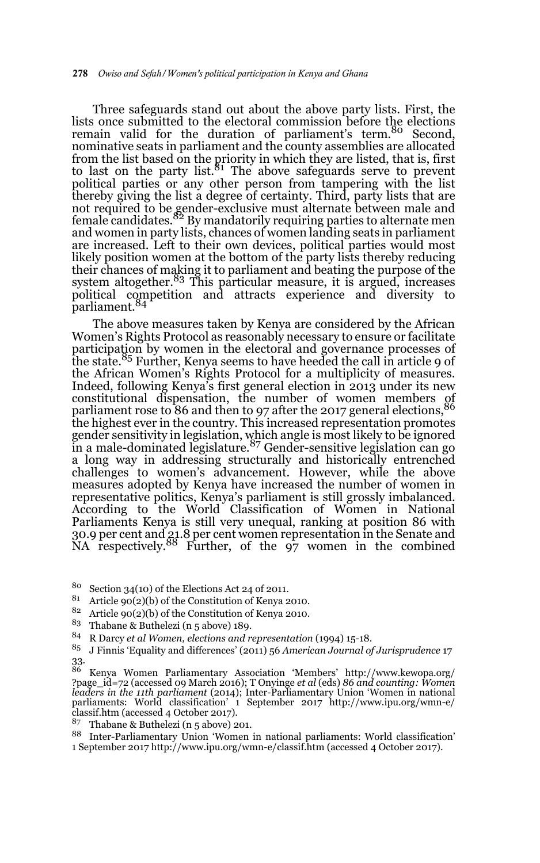Three safeguards stand out about the above party lists. First, the lists once submitted to the electoral commission before the elections remain valid for the duration of parliament's term.<sup>80</sup> Second, nominative seats in parliament and the county assemblies are allocated from the list based on the priority in which they are listed, that is, first to last on the party list.<sup>81</sup> The above safeguards serve to prevent political parties or any other person from tampering with the list thereby giving the list a degree of certainty. Third, party lists that are not required to be gender-exclusive must alternate between male and<br>female candidates.<sup>82</sup> By mandatorily requiring parties to alternate men and women in party lists, chances of women landing seats in parliament are increased. Left to their own devices, political parties would most likely position women at the bottom of the party lists thereby reducing their chances of making it to parliament and beating the purpose of the<br>system altogether.<sup>83</sup> This particular measure, it is argued, increases political competition and attracts experience and diversity to<br>parliament.<sup>84</sup>

The above measures taken by Kenya are considered by the African Women's Rights Protocol as reasonably necessary to ensure or facilitate participation by women in the electoral and governance processes of the state.<sup>85</sup> Further, Kenya seems to have heeded the call in article 9 of the African Women's Rights Protocol for a multiplicity of measures. Indeed, following Kenya's first general election in 2013 under its new Indeed, following Kenya's this general electron constitutional dispensation, the number of women members of parliament rose to 86 and then to 97 after the 2017 general elections, the highest ever in the country. This increased representation promotes gender sensitivity in legislation, which angle is most likely to be ignored<br>in a male-dominated legislature.<sup>87</sup> Gender-sensitive legislation can go a long way in addressing structurally and historically entrenched challenges to women's advancement. However, while the above measures adopted by Kenya have increased the number of women in representative politics, Kenya's parliament is still grossly imbalanced. According to the World Classification of Women in National Parliaments Kenya is still very unequal, ranking at position 86 with 30.9 per cent and 21.8 per cent women representation in the Senate and NA respectively.88 Further, of the 97 women in the combined

<sup>80</sup> Section 34(10) of the Elections Act 24 of 2011.

Article  $90(2)(b)$  of the Constitution of Kenya 2010.

<sup>82</sup> Article 90(2)(b) of the Constitution of Kenya 2010.

<sup>83</sup> Thabane & Buthelezi (n 5 above) 189.

<sup>84</sup> R Darcy *et al Women, elections and representation* (1994) 15-18.

<sup>85</sup> J Finnis 'Equality and differences' (2011) 56 *American Journal of Jurisprudence* 17 33.

<sup>86</sup> Kenya Women Parliamentary Association 'Members' http://www.kewopa.org/ ?page\_id=72 (accessed 09 March 2016); T Onyinge *et al* (eds) *86 and counting: Women leaders in the 11th parliament* (2014); Inter-Parliamentary Union 'Women in national parliaments: World classification' 1 September 2017 http://www.ipu.org/wmn-e/ classif.htm (accessed 4 October 2017).

<sup>87</sup> Thabane & Buthelezi (n 5 above) 201.

<sup>88</sup> Inter-Parliamentary Union 'Women in national parliaments: World classification' 1 September 2017 http://www.ipu.org/wmn-e/classif.htm (accessed 4 October 2017).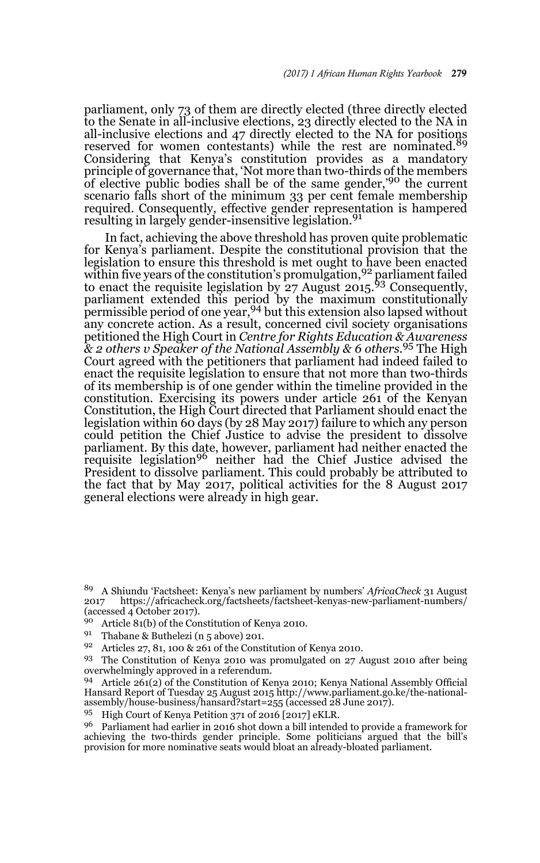parliament, only 73 of them are directly elected (three directly elected to the Senate in all-inclusive elections, 23 directly elected to the NA in all-inclusive elections and 47 directly elected to the NA for positions reserved for women contestants) while the rest are nominated.<sup>89</sup> Considering that Kenya's constitution provides as a mandatory principle of governance that, 'Not more than two-thirds of the members of elective public bodies shall be of the same gender,'90 the current scenario falls short of the minimum 33 per cent female membership required. Consequently, effective gender representation is hampered resulting in largely gender-insensitive legislation.<sup>91</sup>

In fact, achieving the above threshold has proven quite problematic for Kenya's parliament. Despite the constitutional provision that the legislation to ensure this threshold is met ought to have been enacted within five years of the constitution's promulgation, <sup>92</sup> parliament failed to enact the requisite legislation by  $27$  August  $2015$ ,  $93$  Consequently, parliament extended this period by the maximum constitutionally permissible period of one year,94 but this extension also lapsed without any concrete action. As a result, concerned civil society organisations petitioned the High Court in *Centre for Rights Education & Awareness & 2 others v Speaker of the National Assembly & 6 others.*<sup>95</sup> The High Court agreed with the petitioners that parliament had indeed failed to enact the requisite legislation to ensure that not more than two-thirds of its membership is of one gender within the timeline provided in the constitution. Exercising its powers under article 261 of the Kenyan Constitution, the High Court directed that Parliament should enact the legislation within 60 days (by 28 May 2017) failure to which any person could petition the Chief Justice to advise the president to dissolve parliament. By this date, however, parliament had neither enacted the<br>requisite legislation<sup>96</sup> neither had the Chief Justice advised the President to dissolve parliament. This could probably be attributed to the fact that by May 2017, political activities for the 8 August 2017 general elections were already in high gear.

- 91 Thabane & Buthelezi (n 5 above) 201.
- Articles 27, 81, 100 & 261 of the Constitution of Kenya 2010.

<sup>93</sup> The Constitution of Kenya 2010 was promulgated on 27 August 2010 after being overwhelmingly approved in a referendum.

<sup>94</sup> Article 261(2) of the Constitution of Kenya 2010; Kenya National Assembly Official Hansard Report of Tuesday 25 August 2015 http://www.parliament.go.ke/the-nationalassembly/house-business/hansard?start=255 (accessed 28 June 2017).

<sup>95</sup> High Court of Kenya Petition 371 of 2016 [2017] eKLR.

<sup>96</sup> Parliament had earlier in 2016 shot down a bill intended to provide a framework for achieving the two-thirds gender principle. Some politicians argued that the bill's provision for more nominative seats would bloat an already-bloated parliament.

<sup>89</sup> A Shiundu 'Factsheet: Kenya's new parliament by numbers' *AfricaCheck* 31 August https://africacheck.org/factsheets/factsheet-kenyas-new-parliament-numbers/ (accessed 4 October 2017).

<sup>90</sup> Article 81(b) of the Constitution of Kenya 2010.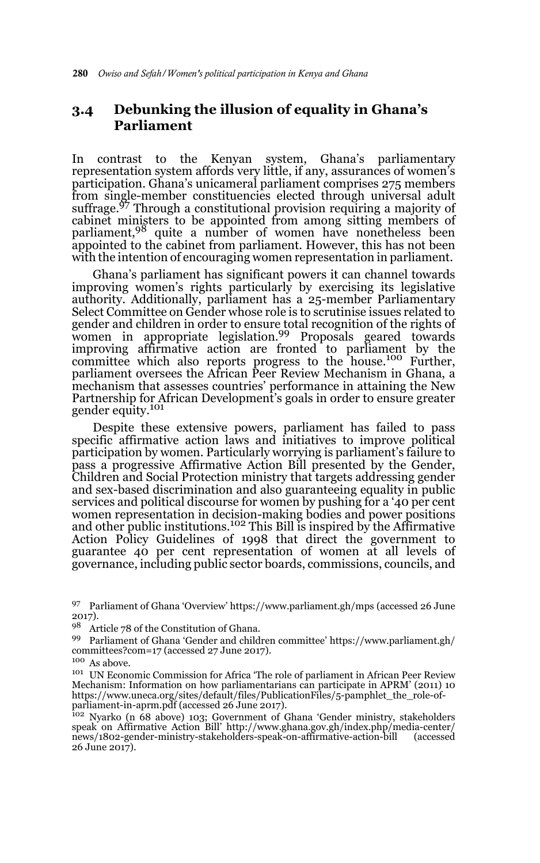### **3.4 Debunking the illusion of equality in Ghana's Parliament**

In contrast to the Kenyan system, Ghana's parliamentary representation system affords very little, if any, assurances of women's participation. Ghana's unicameral parliament comprises 275 members from single-member constituencies elected through universal adult suffrage.<sup>97</sup> Through a constitutional provision requiring a majority of cabinet ministers to be appointed from among sitting members of parliament,<sup>98</sup> quite a number of women have nonetheless been appointed to the cabinet from parliament. However, this has not been with the intention of encouraging women representation in parliament.

Ghana's parliament has significant powers it can channel towards improving women's rights particularly by exercising its legislative authority. Additionally, parliament has a 25-member Parliamentary Select Committee on Gender whose role is to scrutinise issues related to gender and children in order to ensure total recognition of the rights of women in appropriate legislation.<sup>99</sup> Proposals geared towards improving affirmative action are fronted to parliament by the committee which also reports progress to the house.100 Further, parliament oversees the African Peer Review Mechanism in Ghana, a mechanism that assesses countries' performance in attaining the New Partnership for African Development's goals in order to ensure greater gender equity.<sup>101</sup>

Despite these extensive powers, parliament has failed to pass specific affirmative action laws and initiatives to improve political participation by women. Particularly worrying is parliament's failure to pass a progressive Affirmative Action Bill presented by the Gender, Children and Social Protection ministry that targets addressing gender and sex-based discrimination and also guaranteeing equality in public services and political discourse for women by pushing for a '40 per cent women representation in decision-making bodies and power positions and other public institutions.<sup>102</sup> This Bill is inspired by the Affirmative Action Policy Guidelines of 1998 that direct the government to guarantee 40 per cent representation of women at all levels of governance, including public sector boards, commissions, councils, and

<sup>97</sup> Parliament of Ghana 'Overview' https://www.parliament.gh/mps (accessed 26 June 2017).

<sup>98</sup> Article 78 of the Constitution of Ghana.

<sup>99</sup> Parliament of Ghana 'Gender and children committee' https://www.parliament.gh/ committees?com=17 (accessed 27 June 2017).

 $^{100}$  As above.

<sup>101</sup> UN Economic Commission for Africa 'The role of parliament in African Peer Review Mechanism: Information on how parliamentarians can participate in APRM' (2011) 10 https://www.uneca.org/sites/default/files/PublicationFiles/5-pamphlet\_the\_role-ofparliament-in-aprm.pdf (accessed 26 June 2017).

<sup>102</sup> Nyarko (n 68 above) 103; Government of Ghana 'Gender ministry, stakeholders speak on Affirmative Action Bill' http://www.ghana.gov.gh/index.php/media-center/ news/1802-gender-ministry-stakeholders-speak-on-affirmative-action-bill (accessed 26 June 2017).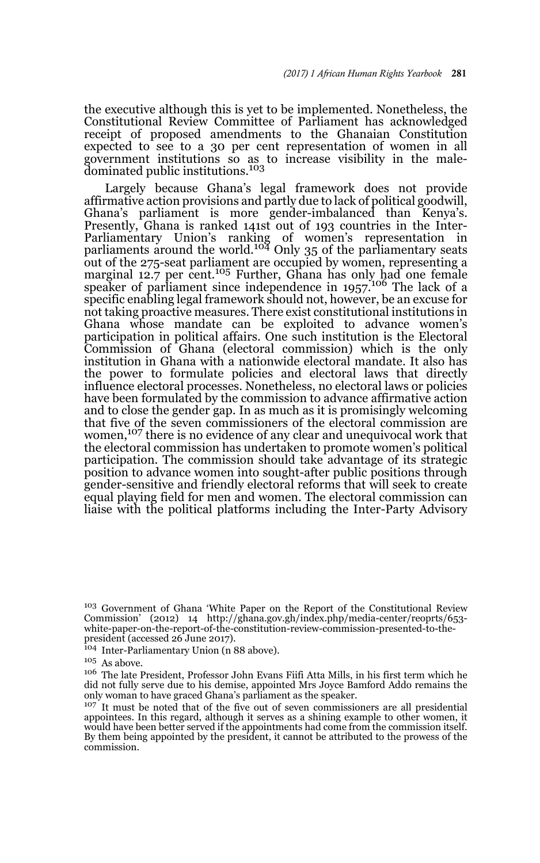the executive although this is yet to be implemented. Nonetheless, the Constitutional Review Committee of Parliament has acknowledged receipt of proposed amendments to the Ghanaian Constitution expected to see to a 30 per cent representation of women in all government institutions so as to increase visibility in the male-dominated public institutions.<sup>103</sup>

Largely because Ghana's legal framework does not provide affirmative action provisions and partly due to lack of political goodwill, Ghana's parliament is more gender-imbalanced than Kenya's. Presently, Ghana is ranked 141st out of 193 countries in the Inter-Parliamentary Union's ranking of women's representation in<br>parliaments around the world.<sup>104</sup> Only 35 of the parliamentary seats out of the 275-seat parliament are occupied by women, representing a marginal 12.7 per cent.<sup>105</sup> Further, Ghana has only had one female speaker of parliament since independence in 1957.<sup>106</sup> The lack of a specific enabling legal framework should not, however, be an excuse for not taking proactive measures. There exist constitutional institutions in Ghana whose mandate can be exploited to advance women's participation in political affairs. One such institution is the Electoral Commission of Ghana (electoral commission) which is the only institution in Ghana with a nationwide electoral mandate. It also has the power to formulate policies and electoral laws that directly influence electoral processes. Nonetheless, no electoral laws or policies have been formulated by the commission to advance affirmative action and to close the gender gap. In as much as it is promisingly welcoming that five of the seven commissioners of the electoral commission are women,<sup>107</sup> there is no evidence of any clear and unequivocal work that the electoral commission has undertaken to promote women's political participation. The commission should take advantage of its strategic position to advance women into sought-after public positions through gender-sensitive and friendly electoral reforms that will seek to create equal playing field for men and women. The electoral commission can liaise with the political platforms including the Inter-Party Advisory

<sup>103</sup> Government of Ghana 'White Paper on the Report of the Constitutional Review Commission' (2012) 14 http://ghana.gov.gh/index.php/media-center/reoprts/653 white-paper-on-the-report-of-the-constitution-review-commission-presented-to-thepresident (accessed 26 June 2017).

<sup>&</sup>lt;sup>104</sup> Inter-Parliamentary Union (n 88 above).

 $105\,$  As above.

<sup>106</sup> The late President, Professor John Evans Fiifi Atta Mills, in his first term which he did not fully serve due to his demise, appointed Mrs Joyce Bamford Addo remains the only woman to have graced Ghana's parliament as the speaker.

<sup>&</sup>lt;sup>107</sup> It must be noted that of the five out of seven commissioners are all presidential appointees. In this regard, although it serves as a shining example to other women, it would have been better served if the appointments had come from the commission itself. By them being appointed by the president, it cannot be attributed to the prowess of the commission.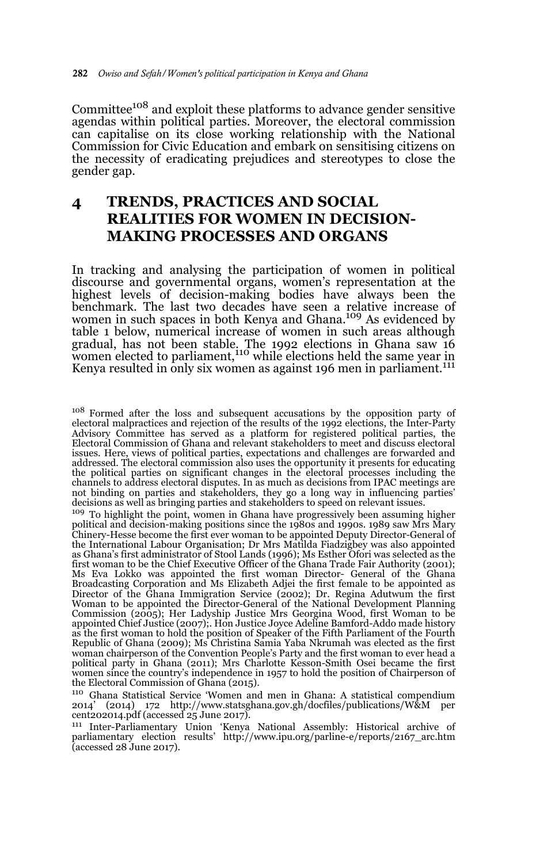Committee108 and exploit these platforms to advance gender sensitive agendas within political parties. Moreover, the electoral commission can capitalise on its close working relationship with the National Commission for Civic Education and embark on sensitising citizens on the necessity of eradicating prejudices and stereotypes to close the gender gap.

# **4 TRENDS, PRACTICES AND SOCIAL REALITIES FOR WOMEN IN DECISION-MAKING PROCESSES AND ORGANS**

In tracking and analysing the participation of women in political discourse and governmental organs, women's representation at the highest levels of decision-making bodies have always been the benchmark. The last two decades have seen a relative increase of women in such spaces in both Kenya and Ghana.<sup>109</sup> As evidenced by table 1 below, numerical increase of women in such areas although gradual, has not been stable. The 1992 elections in Ghana saw 16<br>women elected to parliament,<sup>110</sup> while elections held the same year in Kenya resulted in only six women as against 196 men in parliament.<sup>111</sup>

<sup>109</sup> To highlight the point, women in Ghana have progressively been assuming higher political and decision-making positions since the 1980s and 1990s. 1989 saw Mrs Mary Chinery-Hesse become the first ever woman to be appointed Deputy Director-General of the International Labour Organisation; Dr Mrs Matilda Fiadzigbey was also appointed as Ghana's first administrator of Stool Lands (1996); Ms Esther Ofori was selected as the first woman to be the Chief Executive Officer of the Ghana Trade Fair Authority (2001); Ms Eva Lokko was appointed the first woman Director- General of the Ghana Broadcasting Corporation and Ms Elizabeth Adjei the first female to be appointed as Director of the Ghana Immigration Service (2002); Dr. Regina Adutwum the first Woman to be appointed the Director-General of the National Development Planning Commission (2005); Her Ladyship Justice Mrs Georgina Wood, first Woman to be appointed Chief Justice (2007);. Hon Justice Joyce Adeline Bamford-Addo made history as the first woman to hold the position of Speaker of the Fifth Parliament of the Fourth Republic of Ghana (2009); Ms Christina Samia Yaba Nkrumah was elected as the first woman chairperson of the Convention People's Party and the first woman to ever head a political party in Ghana (2011); Mrs Charlotte Kesson-Smith Osei became the first women since the country's independence in 1957 to hold the position of Chairperson of the Electoral Commission of Ghana (2015).

<sup>110</sup> Ghana Statistical Service 'Women and men in Ghana: A statistical compendium 2014' (2014) 172 http://www.statsghana.gov.gh/docfiles/publications/W&M per cent202014.pdf (accessed 25 June 2017).

<sup>111</sup> Inter-Parliamentary Union 'Kenya National Assembly: Historical archive of parliamentary election results' http://www.ipu.org/parline-e/reports/2167\_arc.htm (accessed 28 June 2017).

<sup>108</sup> Formed after the loss and subsequent accusations by the opposition party of electoral malpractices and rejection of the results of the 1992 elections, the Inter-Party Advisory Committee has served as a platform for registered political parties, the Electoral Commission of Ghana and relevant stakeholders to meet and discuss electoral issues. Here, views of political parties, expectations and challenges are forwarded and addressed. The electoral commission also uses the opportunity it presents for educating the political parties on significant changes in the electoral processes including the channels to address electoral disputes. In as much as decisions from IPAC meetings are not binding on parties and stakeholders, they go a long way in influencing parties' decisions as well as bringing parties and stakeholders to speed on relevant issues.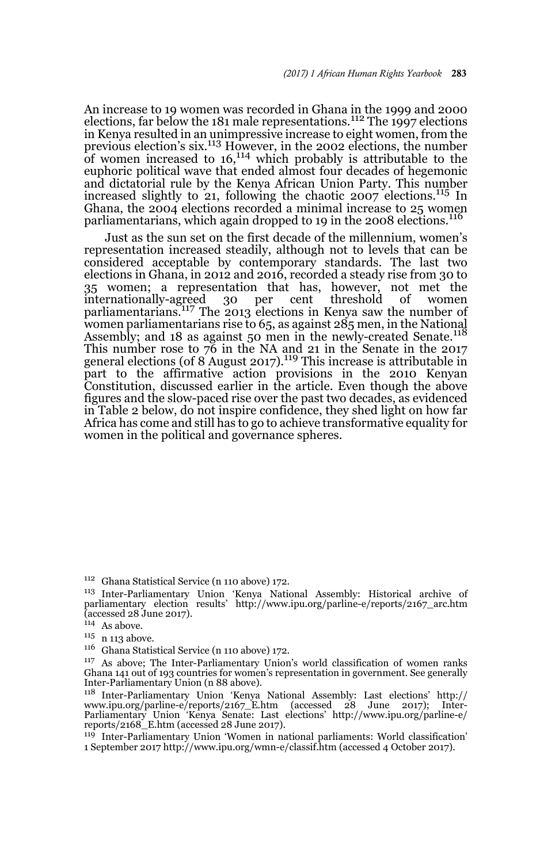An increase to 19 women was recorded in Ghana in the 1999 and 2000<br>elections, far below the 181 male representations.<sup>112</sup> The 1997 elections in Kenya resulted in an unimpressive increase to eight women, from the previous election's six.113 However, in the 2002 elections, the number of women increased to 16,114 which probably is attributable to the euphoric political wave that ended almost four decades of hegemonic and dictatorial rule by the Kenya African Union Party. This number increased slightly to 21, following the chaotic 2007 elections.<sup>115</sup> In Ghana, the 2004 elections recorded a minimal increase to 25 women parliamentarians, which again dropped to 19 in the 2008 elections.<sup>116</sup>

Just as the sun set on the first decade of the millennium, women's representation increased steadily, although not to levels that can be considered acceptable by contemporary standards. The last two elections in Ghana, in 2012 and 2016, recorded a steady rise from 30 to 35 women; a representation that has, however, not met the internationally-agreed 30 per cent threshold of women parliamentarians.<sup>117</sup> The 2013 elections in Kenya saw the number of women parliamentarians rise to 65, as against 285 men, in the National Assembly; and 18 as against 50 men in the newly-created Senate.<sup>118</sup> This number rose to  $\bar{76}$  in the NA and 21 in the Senate in the 2017 general elections (of  $8'$  August 2017).<sup>119</sup> This increase is attributable in part to the affirmative action provisions in the 2010 Kenyan Constitution, discussed earlier in the article. Even though the above figures and the slow-paced rise over the past two decades, as evidenced in Table 2 below, do not inspire confidence, they shed light on how far Africa has come and still has to go to achieve transformative equality for women in the political and governance spheres.

<sup>112</sup> Ghana Statistical Service (n 110 above) 172.

<sup>113</sup> Inter-Parliamentary Union 'Kenya National Assembly: Historical archive of parliamentary election results' http://www.ipu.org/parline-e/reports/2167\_arc.htm (accessed 28 June 2017).

As above; The Inter-Parliamentary Union's world classification of women ranks Ghana 141 out of 193 countries for women's representation in government. See generally Inter-Parliamentary Union (n 88 above).

<sup>118</sup> Inter-Parliamentary Union 'Kenya National Assembly: Last elections' http:// www.ipu.org/parline-e/reports/2167\_E.htm (accessed 28 June 2017); Inter-Parliamentary Union 'Kenya Senate: Last elections' http://www.ipu.org/parline-e/ reports/2168\_E.htm (accessed 28 June 2017).

<sup>119</sup> Inter-Parliamentary Union 'Women in national parliaments: World classification' 1 September 2017 http://www.ipu.org/wmn-e/classif.htm (accessed 4 October 2017).

 $^{114}\,$  As above.

 $^{\rm 115}$ n 113 above.

<sup>&</sup>lt;sup>116</sup> Ghana Statistical Service (n 110 above) 172.<br><sup>117</sup> As above: The Inter-Parliamentary Union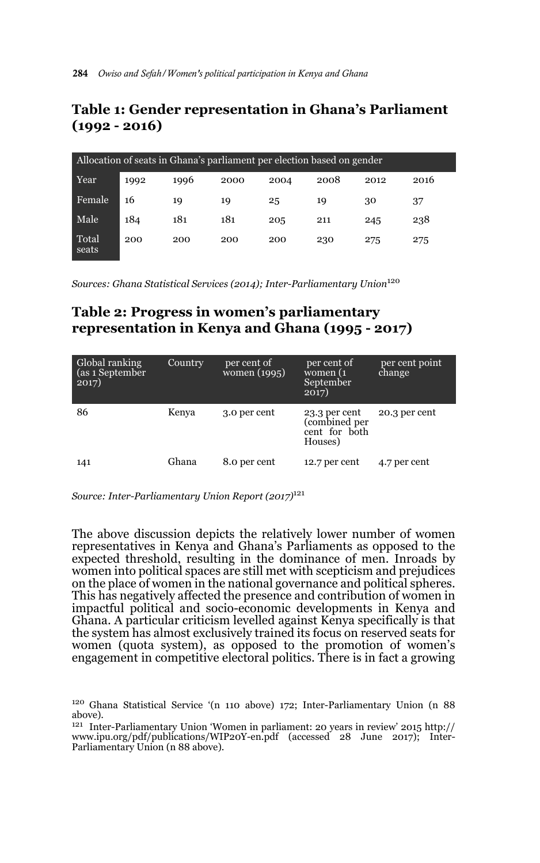# **Table 1: Gender representation in Ghana's Parliament (1992 - 2016)**

| Allocation of seats in Ghana's parliament per election based on gender |      |      |      |      |      |      |      |  |  |  |
|------------------------------------------------------------------------|------|------|------|------|------|------|------|--|--|--|
| Year                                                                   | 1992 | 1996 | 2000 | 2004 | 2008 | 2012 | 2016 |  |  |  |
| Female                                                                 | 16   | 19   | 19   | 25   | 19   | 30   | 37   |  |  |  |
| Male                                                                   | 184  | 181  | 181  | 205  | 211  | 245  | 238  |  |  |  |
| Total<br>seats                                                         | 200  | 200  | 200  | 200  | 230  | 275  | 275  |  |  |  |

*Sources: Ghana Statistical Services (2014); Inter-Parliamentary Union*<sup>120</sup>

# **Table 2: Progress in women's parliamentary representation in Kenya and Ghana (1995 - 2017)**

| Global ranking<br>(as 1 September<br>2017) | Country | per cent of<br>women (1995) | per cent of<br>women (1<br>September<br>2017)              | per cent point<br>change |
|--------------------------------------------|---------|-----------------------------|------------------------------------------------------------|--------------------------|
| 86                                         | Kenya   | 3.0 per cent                | 23.3 per cent<br>(combined per<br>cent for both<br>Houses) | 20.3 per cent            |
| 141                                        | Ghana   | 8.0 per cent                | 12.7 per cent                                              | 4.7 per cent             |

*Source: Inter-Parliamentary Union Report (2017)*<sup>121</sup>

The above discussion depicts the relatively lower number of women representatives in Kenya and Ghana's Parliaments as opposed to the expected threshold, resulting in the dominance of men. Inroads by women into political spaces are still met with scepticism and prejudices on the place of women in the national governance and political spheres. This has negatively affected the presence and contribution of women in impactful political and socio-economic developments in Kenya and Ghana. A particular criticism levelled against Kenya specifically is that the system has almost exclusively trained its focus on reserved seats for women (quota system), as opposed to the promotion of women's engagement in competitive electoral politics. There is in fact a growing

<sup>120</sup> Ghana Statistical Service '(n 110 above) 172; Inter-Parliamentary Union (n 88 above).

<sup>121</sup> Inter-Parliamentary Union 'Women in parliament: 20 years in review' 2015 http:// www.ipu.org/pdf/publications/WIP20Y-en.pdf (accessed 28 June 2017); Inter-Parliamentary Union (n 88 above).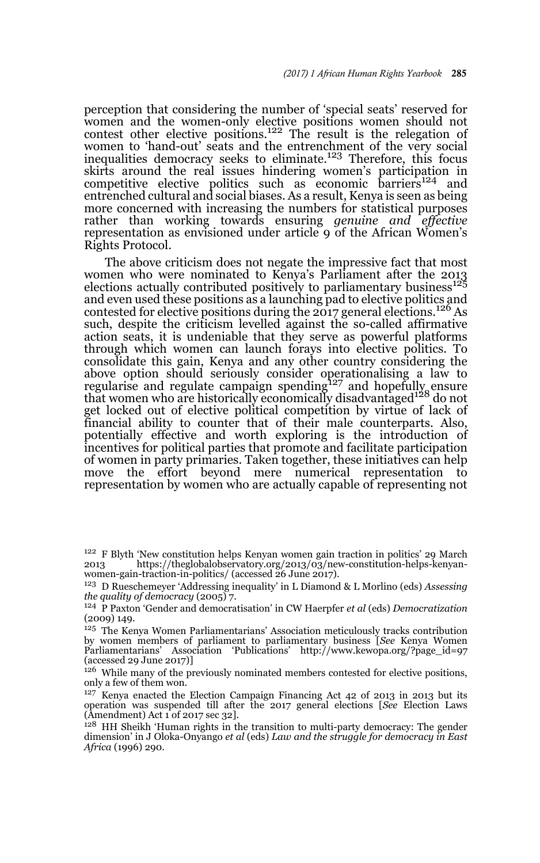perception that considering the number of 'special seats' reserved for women and the women-only elective positions women should not contest other elective positions.<sup>122</sup> The result is the relegation of women to 'hand-out' seats and the entrenchment of the very social inequalities democracy seeks to eliminate.<sup>123</sup> Therefore, this focus skirts around the real issues hindering women's participation in<br>competitive elective politics such as economic barriers<sup>124</sup> and entrenched cultural and social biases. As a result, Kenya is seen as being more concerned with increasing the numbers for statistical purposes rather than working towards ensuring *genuine and effective* representation as envisioned under article 9 of the African Women's Rights Protocol.

The above criticism does not negate the impressive fact that most women who were nominated to Kenya's Parliament after the 2013 elections actually contributed positively to parliamentary business<sup>125</sup> and even used these positions as a launching pad to elective politics and contested for elective positions during the  $2017$  general elections.<sup>126</sup> As such, despite the criticism levelled against the so-called affirmative action seats, it is undeniable that they serve as powerful platforms through which women can launch forays into elective politics. To consolidate this gain, Kenya and any other country considering the above option should seriously consider operationalising a law to regularise and regulate campaign spending<sup>127</sup> and hopefully ensure that women who are historically economically disadvantaged128 do not get locked out of elective political competition by virtue of lack of financial ability to counter that of their male counterparts. Also, potentially effective and worth exploring is the introduction of incentives for political parties that promote and facilitate participation of women in party primaries. Taken together, these initiatives can help move the effort beyond mere numerical representation to representation by women who are actually capable of representing not

<sup>127</sup> Kenya enacted the Election Campaign Financing Act 42 of 2013 in 2013 but its operation was suspended till after the 2017 general elections [*See* Election Laws (Amendment) Act 1 of 2017 sec 32].

<sup>128</sup> HH Sheikh 'Human rights in the transition to multi-party democracy: The gender dimension' in J Oloka-Onyango *et al* (eds) *Law and the struggle for democracy in East Africa* (1996) 290.

<sup>&</sup>lt;sup>122</sup> F Blyth 'New constitution helps Kenyan women gain traction in politics' 29 March  $2013$ <br>2013 https://theglobalobservatory.org/2013/03/new-constitution-helps-kenyan-2013 https://theglobalobservatory.org/2013/03/new-constitution-helps-kenyanwomen-gain-traction-in-politics/ (accessed 26 June 2017).

<sup>123</sup> D Rueschemeyer 'Addressing inequality' in L Diamond & L Morlino (eds) *Assessing the quality of democracy* (2005) 7.

<sup>124</sup> P Paxton 'Gender and democratisation' in CW Haerpfer *et al* (eds) *Democratization* (2009) 149.

<sup>125</sup> The Kenya Women Parliamentarians' Association meticulously tracks contribution by women members of parliament to parliamentary business [*See* Kenya Women Parliamentarians' Association 'Publications' http://www.kewopa.org/?page\_id=97 (accessed 29 June 2017)]

<sup>&</sup>lt;sup>126</sup> While many of the previously nominated members contested for elective positions, only a few of them won.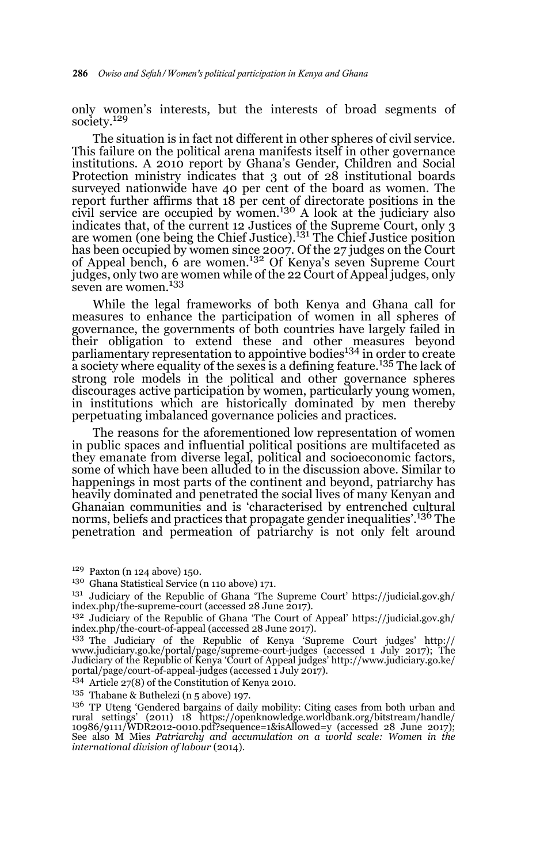only women's interests, but the interests of broad segments of society.<sup>129</sup>

The situation is in fact not different in other spheres of civil service. This failure on the political arena manifests itself in other governance institutions. A 2010 report by Ghana's Gender, Children and Social Protection ministry indicates that 3 out of 28 institutional boards surveyed nationwide have 40 per cent of the board as women. The report further affirms that 18 per cent of directorate positions in the civil service are occupied by women.130 A look at the judiciary also indicates that, of the current 12 Justices of the Supreme Court, only 3<br>are women (one being the Chief Justice).<sup>131</sup> The Chief Justice position has been occupied by women since 2007. Of the 27 judges on the Court of Appeal bench, 6 are women.132 Of Kenya's seven Supreme Court judges, only two are women while of the 22 Court of Appeal judges, only seven are women.<sup>133</sup>

While the legal frameworks of both Kenya and Ghana call for measures to enhance the participation of women in all spheres of governance, the governments of both countries have largely failed in their obligation to extend these and other measures beyond parliamentary representation to appointive bodies<sup>134</sup> in order to create a society where equality of the sexes is a defining feature.<sup>135</sup> The lack of strong role models in the political and other governance spheres discourages active participation by women, particularly young women, in institutions which are historically dominated by men thereby perpetuating imbalanced governance policies and practices.

The reasons for the aforementioned low representation of women in public spaces and influential political positions are multifaceted as they emanate from diverse legal, political and socioeconomic factors, some of which have been alluded to in the discussion above. Similar to happenings in most parts of the continent and beyond, patriarchy has heavily dominated and penetrated the social lives of many Kenyan and Ghanaian communities and is 'characterised by entrenched cultural norms, beliefs and practices that propagate gender inequalities'.136 The penetration and permeation of patriarchy is not only felt around

- <sup>129</sup> Paxton (n 124 above) 150.
- <sup>130</sup> Ghana Statistical Service (n 110 above) 171.
- $^{131}\,$  Judiciary of the Republic of Ghana 'The Supreme Court' https://judicial.gov.gh/ index.php/the-supreme-court (accessed 28 June 2017).
- <sup>132</sup> Judiciary of the Republic of Ghana 'The Court of Appeal' https://judicial.gov.gh/ index.php/the-court-of-appeal (accessed 28 June 2017).

<sup>134</sup> Article 27(8) of the Constitution of Kenya 2010.

<sup>135</sup> Thabane & Buthelezi (n 5 above) 197.

<sup>133</sup> The Judiciary of the Republic of Kenya 'Supreme Court judges' http:// www.judiciary.go.ke/portal/page/supreme-court-judges (accessed 1 July 2017); The Judiciary of the Republic of Kenya 'Court of Appeal judges' http://www.judiciary.go.ke/ portal/page/court-of-appeal-judges (accessed 1 July 2017).

<sup>&</sup>lt;sup>136</sup> TP Uteng 'Gendered bargains of daily mobility: Citing cases from both urban and rural settings' (2011) 18 https://openknowledge.worldbank.org/bitstream/handle/ 10986/9111/WDR2012-0010.pdf?sequence=1&isAllowed=y (accessed 28 June 2017); See also M Mies *Patriarchy and accumulation on a world scale: Women in the international division of labour* (2014).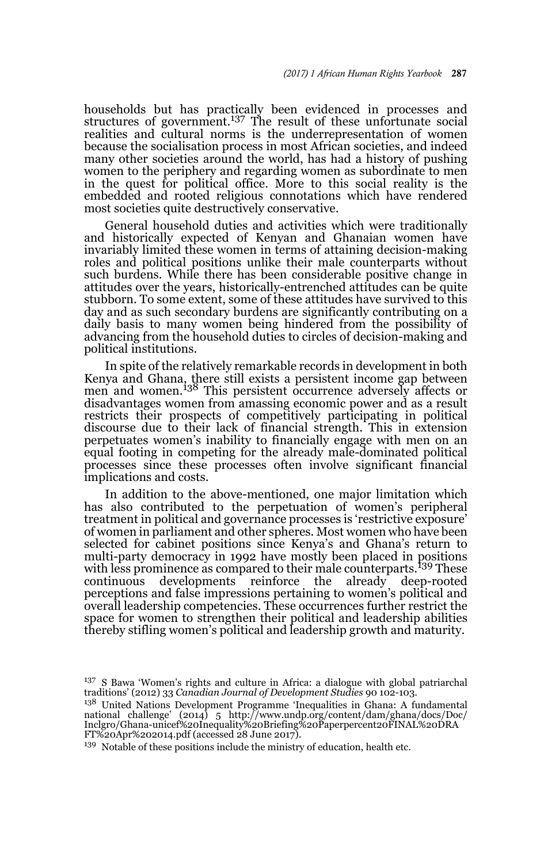households but has practically been evidenced in processes and<br>structures of government.<sup>137</sup> The result of these unfortunate social realities and cultural norms is the underrepresentation of women because the socialisation process in most African societies, and indeed many other societies around the world, has had a history of pushing women to the periphery and regarding women as subordinate to men in the quest for political office. More to this social reality is the embedded and rooted religious connotations which have rendered most societies quite destructively conservative.

General household duties and activities which were traditionally and historically expected of Kenyan and Ghanaian women have invariably limited these women in terms of attaining decision-making roles and political positions unlike their male counterparts without such burdens. While there has been considerable positive change in attitudes over the years, historically-entrenched attitudes can be quite stubborn. To some extent, some of these attitudes have survived to this day and as such secondary burdens are significantly contributing on a daily basis to many women being hindered from the possibility of advancing from the household duties to circles of decision-making and political institutions.

In spite of the relatively remarkable records in development in both Kenya and Ghana, there still exists a persistent income gap between men and women.138 This persistent occurrence adversely affects or disadvantages women from amassing economic power and as a result restricts their prospects of competitively participating in political discourse due to their lack of financial strength. This in extension perpetuates women's inability to financially engage with men on an equal footing in competing for the already male-dominated political processes since these processes often involve significant financial implications and costs.

In addition to the above-mentioned, one major limitation which has also contributed to the perpetuation of women's peripheral treatment in political and governance processes is 'restrictive exposure' of women in parliament and other spheres. Most women who have been selected for cabinet positions since Kenya's and Ghana's return to multi-party democracy in 1992 have mostly been placed in positions with less prominence as compared to their male counterparts.<sup>139</sup> These continuous developments reinforce the already deep-rooted developments reinforce the perceptions and false impressions pertaining to women's political and overall leadership competencies. These occurrences further restrict the space for women to strengthen their political and leadership abilities thereby stifling women's political and leadership growth and maturity.

<sup>139</sup> Notable of these positions include the ministry of education, health etc.

<sup>&</sup>lt;sup>137</sup> S Bawa 'Women's rights and culture in Africa: a dialogue with global patriarchal traditions' (2012) 33 *Canadian Journal of Development Studies* 90 102-103.

<sup>138</sup> United Nations Development Programme 'Inequalities in Ghana: A fundamental national challenge' (2014) 5 http://www.undp.org/content/dam/ghana/docs/Doc/ Inclgro/Ghana-unicef%20Inequality%20Briefing%20Paperpercent20FINAL%20DRA FT%20Apr%202014.pdf (accessed 28 June 2017).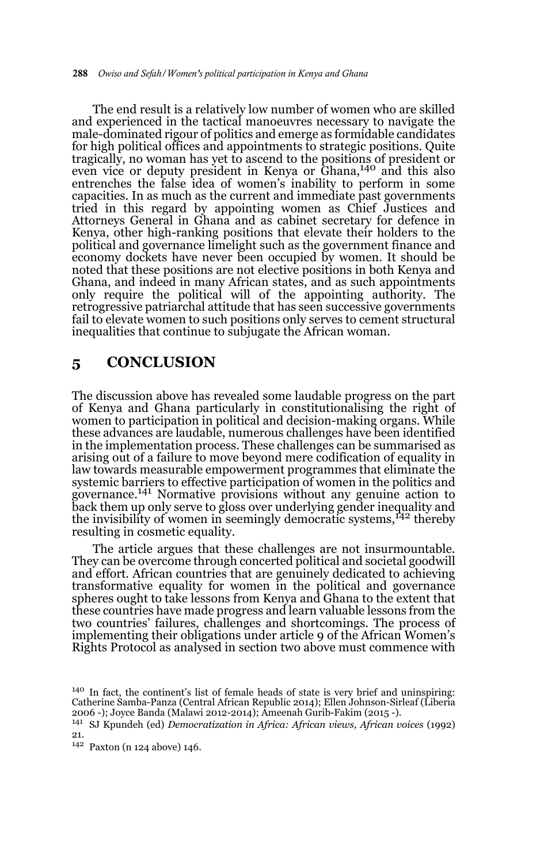The end result is a relatively low number of women who are skilled and experienced in the tactical manoeuvres necessary to navigate the male-dominated rigour of politics and emerge as formidable candidates for high political offices and appointments to strategic positions. Quite tragically, no woman has yet to ascend to the positions of president or even vice or deputy president in Kenya or Ghana,<sup>140</sup> and this also entrenches the false idea of women's inability to perform in some capacities. In as much as the current and immediate past governments tried in this regard by appointing women as Chief Justices and Attorneys General in Ghana and as cabinet secretary for defence in Kenya, other high-ranking positions that elevate their holders to the political and governance limelight such as the government finance and economy dockets have never been occupied by women. It should be noted that these positions are not elective positions in both Kenya and Ghana, and indeed in many African states, and as such appointments only require the political will of the appointing authority. The retrogressive patriarchal attitude that has seen successive governments fail to elevate women to such positions only serves to cement structural inequalities that continue to subjugate the African woman.

### **5 CONCLUSION**

The discussion above has revealed some laudable progress on the part of Kenya and Ghana particularly in constitutionalising the right of women to participation in political and decision-making organs. While these advances are laudable, numerous challenges have been identified in the implementation process. These challenges can be summarised as arising out of a failure to move beyond mere codification of equality in law towards measurable empowerment programmes that eliminate the systemic barriers to effective participation of women in the politics and governance.<sup>141</sup> Normative provisions without any genuine action to back them up only serve to gloss over underlying gender inequality and the invisibility of women in seemingly democratic systems,<sup>142</sup> thereby resulting in cosmetic equality.

The article argues that these challenges are not insurmountable. They can be overcome through concerted political and societal goodwill and effort. African countries that are genuinely dedicated to achieving transformative equality for women in the political and governance spheres ought to take lessons from Kenya and Ghana to the extent that these countries have made progress and learn valuable lessons from the two countries' failures, challenges and shortcomings. The process of implementing their obligations under article 9 of the African Women's Rights Protocol as analysed in section two above must commence with

<sup>140</sup> In fact, the continent's list of female heads of state is very brief and uninspiring: Catherine Samba-Panza (Central African Republic 2014); Ellen Johnson-Sirleaf (Liberia 2006 -); Joyce Banda (Malawi 2012-2014); Ameenah Gurib-Fakim (2015 -).

<sup>141</sup> SJ Kpundeh (ed) *Democratization in Africa: African views, African voices* (1992) 21.

<sup>142</sup> Paxton (n 124 above) 146.